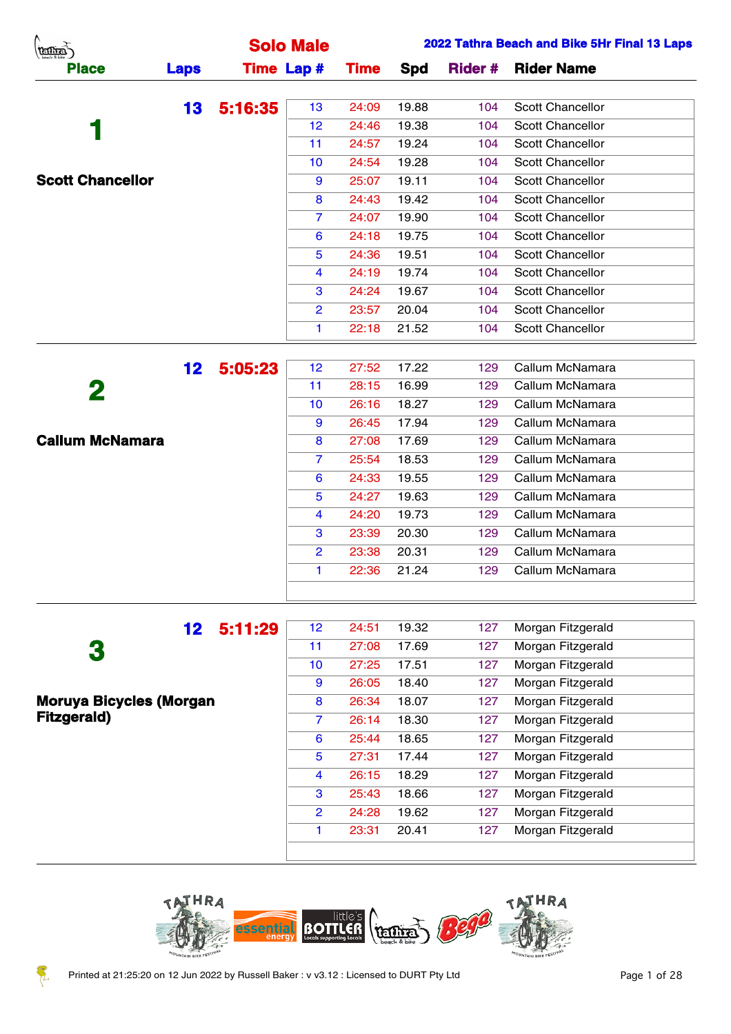| A.<br>(TELLIES)         |                 |                   | <b>Solo Male</b>     |             |       |                | 2022 Tathra Beach and Bike 5Hr Final 13 Laps |
|-------------------------|-----------------|-------------------|----------------------|-------------|-------|----------------|----------------------------------------------|
| <b>Place</b>            | <b>Laps</b>     | <b>Time Lap #</b> |                      | <b>Time</b> | Spd   | <b>Rider #</b> | <b>Rider Name</b>                            |
|                         | 13              | 5:16:35           | 13                   | 24:09       | 19.88 | 104            | <b>Scott Chancellor</b>                      |
|                         |                 |                   | 12                   | 24:46       | 19.38 | 104            | Scott Chancellor                             |
|                         |                 |                   | 11                   | 24:57       | 19.24 | 104            | Scott Chancellor                             |
|                         |                 |                   | 10                   | 24:54       | 19.28 | 104            | Scott Chancellor                             |
| <b>Scott Chancellor</b> |                 |                   | 9                    | 25:07       | 19.11 | 104            | Scott Chancellor                             |
|                         |                 |                   | 8                    | 24:43       | 19.42 | 104            | <b>Scott Chancellor</b>                      |
|                         |                 |                   | $\overline{7}$       | 24:07       | 19.90 | 104            | Scott Chancellor                             |
|                         |                 |                   | 6                    | 24:18       | 19.75 | 104            | Scott Chancellor                             |
|                         |                 |                   | $\overline{5}$       | 24:36       | 19.51 | 104            | Scott Chancellor                             |
|                         |                 |                   | 4                    | 24:19       | 19.74 | 104            | Scott Chancellor                             |
|                         |                 |                   | 3                    | 24:24       | 19.67 | 104            | Scott Chancellor                             |
|                         |                 |                   | $\overline{2}$       | 23:57       | 20.04 | 104            | Scott Chancellor                             |
|                         |                 |                   | $\blacktriangleleft$ | 22:18       | 21.52 | 104            | Scott Chancellor                             |
|                         |                 |                   |                      |             |       |                |                                              |
|                         | 12 <sub>2</sub> | 5:05:23           | 12 <sub>2</sub>      | 27:52       | 17.22 | 129            | Callum McNamara                              |
| 2                       |                 |                   | 11                   | 28:15       | 16.99 | 129            | Callum McNamara                              |
|                         |                 |                   | 10                   | 26:16       | 18.27 | 129            | Callum McNamara                              |
|                         |                 |                   | 9                    | 26:45       | 17.94 | 129            | Callum McNamara                              |
| <b>Callum McNamara</b>  |                 |                   | 8                    | 27:08       | 17.69 | 129            | Callum McNamara                              |
|                         |                 |                   | $\overline{7}$       | 25:54       | 18.53 | 129            | Callum McNamara                              |
|                         |                 |                   | 6                    | 24:33       | 19.55 | 129            | Callum McNamara                              |

|                                | $\overline{2}$  | 23:38 | 20.31 | 129 | Callum McNamara   |
|--------------------------------|-----------------|-------|-------|-----|-------------------|
|                                | 1               | 22:36 | 21.24 | 129 | Callum McNamara   |
|                                |                 |       |       |     |                   |
| 5:11:29<br>12                  | 12              | 24:51 | 19.32 | 127 | Morgan Fitzgerald |
| 3                              | 11              | 27:08 | 17.69 | 127 | Morgan Fitzgerald |
|                                | 10 <sup>°</sup> | 27:25 | 17.51 | 127 | Morgan Fitzgerald |
|                                | 9               | 26:05 | 18.40 | 127 | Morgan Fitzgerald |
| <b>Moruya Bicycles (Morgan</b> | 8               | 26:34 | 18.07 | 127 | Morgan Fitzgerald |
| <b>Fitzgerald</b> )            | 7.              | 26:14 | 18.30 | 127 | Morgan Fitzgerald |
|                                | 6               | 25:44 | 18.65 | 127 | Morgan Fitzgerald |
|                                | 5               | 27:31 | 17.44 | 127 | Morgan Fitzgerald |
|                                | 4               | 26:15 | 18.29 | 127 | Morgan Fitzgerald |
|                                | 3               | 25:43 | 18.66 | 127 | Morgan Fitzgerald |
|                                | 2               | 24:28 | 19.62 | 127 | Morgan Fitzgerald |

 24:27 19.63 129 Callum McNamara 24:20 19.73 129 Callum McNamara 23:39 20.30 129 Callum McNamara

1 23:31 20.41 127 Morgan Fitzgerald



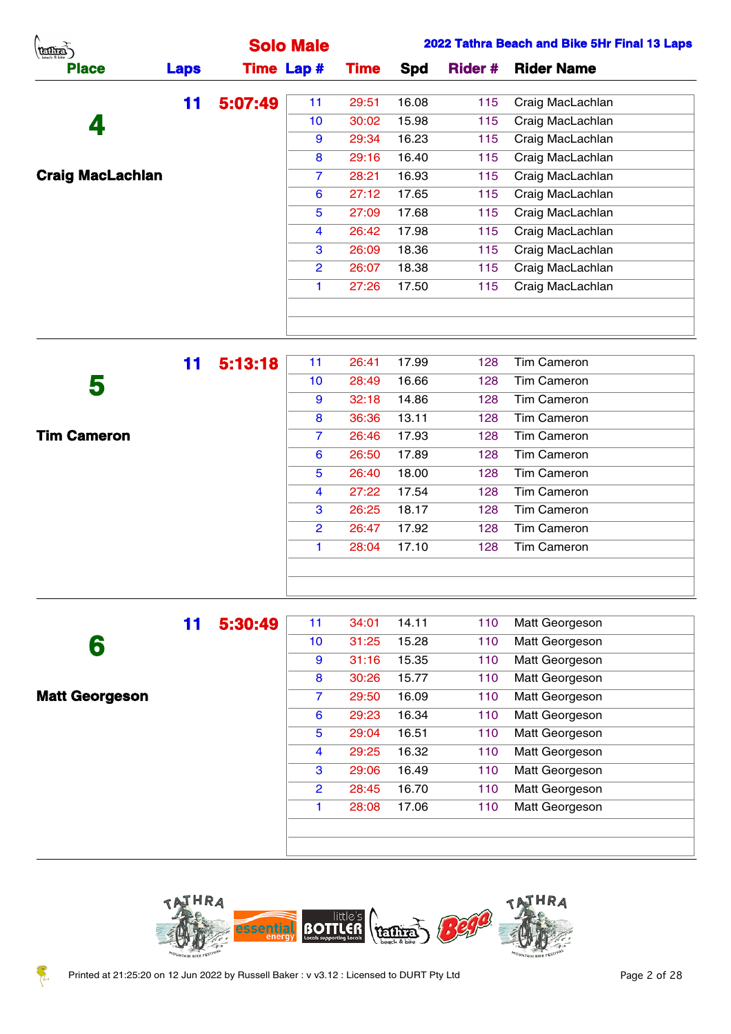| (tentra)                |             |         | <b>Solo Male</b>  |             |       |               | 2022 Tathra Beach and Bike 5Hr Final 13 Laps |
|-------------------------|-------------|---------|-------------------|-------------|-------|---------------|----------------------------------------------|
| <b>Place</b>            | <b>Laps</b> |         | <b>Time Lap #</b> | <b>Time</b> | Spd   | <b>Rider#</b> | <b>Rider Name</b>                            |
|                         | 11          | 5:07:49 | 11                | 29:51       | 16.08 | 115           | Craig MacLachlan                             |
| 4                       |             |         | 10                | 30:02       | 15.98 | 115           | Craig MacLachlan                             |
|                         |             |         | 9                 | 29:34       | 16.23 | 115           | Craig MacLachlan                             |
|                         |             |         | 8                 | 29:16       | 16.40 | 115           | Craig MacLachlan                             |
| <b>Craig MacLachlan</b> |             |         | $\overline{7}$    | 28:21       | 16.93 | 115           | Craig MacLachlan                             |
|                         |             |         | 6                 | 27:12       | 17.65 | 115           | Craig MacLachlan                             |
|                         |             |         | $5^{\circ}$       | 27:09       | 17.68 | 115           | Craig MacLachlan                             |
|                         |             |         | 4                 | 26:42       | 17.98 | 115           | Craig MacLachlan                             |
|                         |             |         | 3                 | 26:09       | 18.36 | 115           | Craig MacLachlan                             |
|                         |             |         | $\overline{2}$    | 26:07       | 18.38 | 115           | Craig MacLachlan                             |
|                         |             |         |                   | 27:26       | 17.50 | 115           | Craig MacLachlan                             |
|                         |             |         |                   |             |       |               |                                              |
|                         |             |         |                   |             |       |               |                                              |

|                    | 11 | 5:13:18 | 11              | 26:41 | 17.99 | 128 | Tim Cameron        |  |
|--------------------|----|---------|-----------------|-------|-------|-----|--------------------|--|
| 5                  |    |         | 10 <sup>°</sup> | 28:49 | 16.66 | 128 | <b>Tim Cameron</b> |  |
|                    |    |         | 9               | 32:18 | 14.86 | 128 | <b>Tim Cameron</b> |  |
|                    |    |         | 8               | 36:36 | 13.11 | 128 | <b>Tim Cameron</b> |  |
| <b>Tim Cameron</b> |    |         | $\overline{7}$  | 26:46 | 17.93 | 128 | <b>Tim Cameron</b> |  |
|                    |    |         | 6               | 26:50 | 17.89 | 128 | <b>Tim Cameron</b> |  |
|                    |    |         | 5               | 26:40 | 18.00 | 128 | Tim Cameron        |  |
|                    |    |         | 4               | 27:22 | 17.54 | 128 | <b>Tim Cameron</b> |  |
|                    |    |         | 3               | 26:25 | 18.17 | 128 | <b>Tim Cameron</b> |  |
|                    |    |         | $\overline{2}$  | 26:47 | 17.92 | 128 | <b>Tim Cameron</b> |  |
|                    |    |         | 1               | 28:04 | 17.10 | 128 | <b>Tim Cameron</b> |  |
|                    |    |         |                 |       |       |     |                    |  |
|                    |    |         |                 |       |       |     |                    |  |

| 11 | 5:30:49 | 11              | 34:01 | 14.11 | 110 | Matt Georgeson |
|----|---------|-----------------|-------|-------|-----|----------------|
|    |         | 10 <sup>°</sup> | 31:25 | 15.28 | 110 | Matt Georgeson |
|    |         | 9               | 31:16 | 15.35 | 110 | Matt Georgeson |
|    |         | 8               | 30:26 | 15.77 | 110 | Matt Georgeson |
|    |         | 7               | 29:50 | 16.09 | 110 | Matt Georgeson |
|    |         | 6               | 29:23 | 16.34 | 110 | Matt Georgeson |
|    |         | 5               | 29:04 | 16.51 | 110 | Matt Georgeson |
|    |         | 4               | 29:25 | 16.32 | 110 | Matt Georgeson |
|    |         | 3               | 29:06 | 16.49 | 110 | Matt Georgeson |
|    |         | 2               | 28:45 | 16.70 | 110 | Matt Georgeson |
|    |         | 1               | 28:08 | 17.06 | 110 | Matt Georgeson |
|    |         |                 |       |       |     |                |
|    |         |                 |       |       |     |                |
|    |         |                 |       |       |     |                |

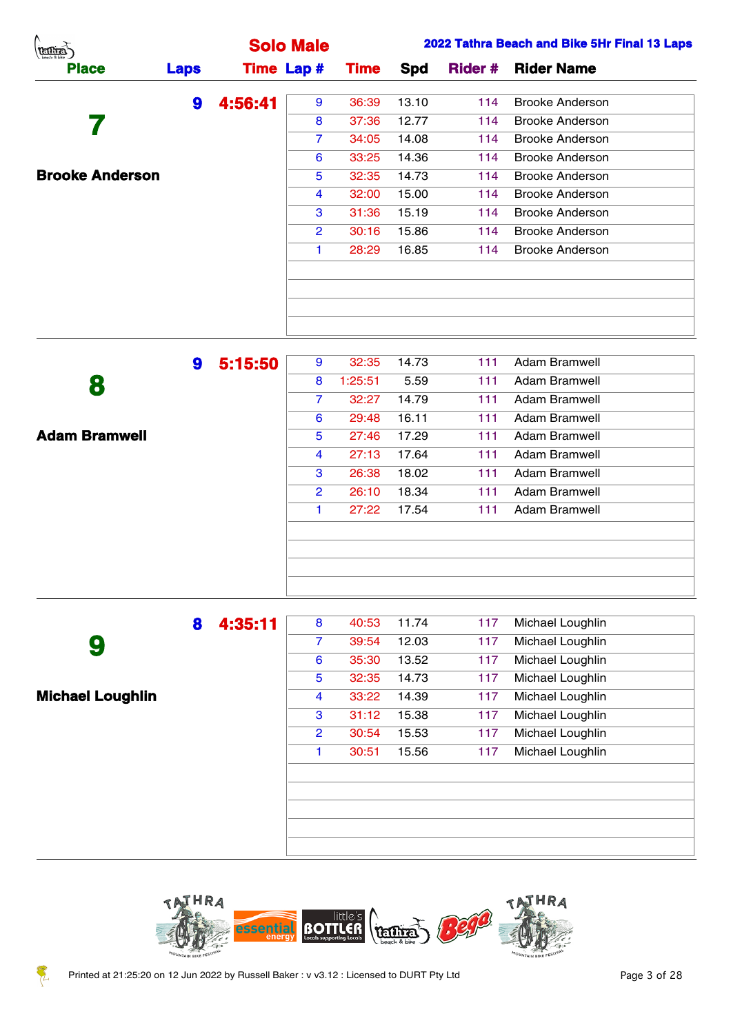| (temps)                |             |         | <b>Solo Male</b>  |             |       |                | 2022 Tathra Beach and Bike 5Hr Final 13 Laps |
|------------------------|-------------|---------|-------------------|-------------|-------|----------------|----------------------------------------------|
| <b>Place</b>           | <b>Laps</b> |         | <b>Time Lap #</b> | <b>Time</b> | Spd   | <b>Rider #</b> | <b>Rider Name</b>                            |
|                        | 9           | 4:56:41 | 9                 | 36:39       | 13.10 | 114            | <b>Brooke Anderson</b>                       |
|                        |             |         | 8                 | 37:36       | 12.77 | 114            | <b>Brooke Anderson</b>                       |
|                        |             |         | $\overline{7}$    | 34:05       | 14.08 | 114            | <b>Brooke Anderson</b>                       |
|                        |             |         | 6                 | 33:25       | 14.36 | 114            | <b>Brooke Anderson</b>                       |
| <b>Brooke Anderson</b> |             |         | 5                 | 32:35       | 14.73 | 114            | <b>Brooke Anderson</b>                       |
|                        |             |         | 4                 | 32:00       | 15.00 | 114            | <b>Brooke Anderson</b>                       |
|                        |             |         | 3                 | 31:36       | 15.19 | 114            | <b>Brooke Anderson</b>                       |
|                        |             |         | $\overline{2}$    | 30:16       | 15.86 | 114            | <b>Brooke Anderson</b>                       |
|                        |             |         |                   | 28:29       | 16.85 | 114            | Brooke Anderson                              |
|                        |             |         |                   |             |       |                |                                              |
|                        |             |         |                   |             |       |                |                                              |
|                        |             |         |                   |             |       |                |                                              |
|                        |             |         |                   |             |       |                |                                              |

|                      | 9 | 5:15:50 | 9              | 32:35   | 14.73 | 111 | Adam Bramwell        |
|----------------------|---|---------|----------------|---------|-------|-----|----------------------|
| 8                    |   |         | 8              | 1:25:51 | 5.59  | 111 | Adam Bramwell        |
|                      |   |         | $\overline{7}$ | 32:27   | 14.79 | 111 | Adam Bramwell        |
|                      |   |         | 6              | 29:48   | 16.11 | 111 | <b>Adam Bramwell</b> |
| <b>Adam Bramwell</b> |   |         | 5              | 27:46   | 17.29 | 111 | <b>Adam Bramwell</b> |
|                      |   |         | 4              | 27:13   | 17.64 | 111 | Adam Bramwell        |
|                      |   |         | 3              | 26:38   | 18.02 | 111 | Adam Bramwell        |
|                      |   |         | $\overline{2}$ | 26:10   | 18.34 | 111 | <b>Adam Bramwell</b> |
|                      |   |         | 1              | 27:22   | 17.54 | 111 | <b>Adam Bramwell</b> |
|                      |   |         |                |         |       |     |                      |
|                      |   |         |                |         |       |     |                      |
|                      |   |         |                |         |       |     |                      |
|                      |   |         |                |         |       |     |                      |

|                         | 8 | 4:35:11 | 8              | 40:53 | 11.74 | 117 | Michael Loughlin |  |
|-------------------------|---|---------|----------------|-------|-------|-----|------------------|--|
| 9                       |   |         | $\overline{7}$ | 39:54 | 12.03 | 117 | Michael Loughlin |  |
|                         |   |         | 6              | 35:30 | 13.52 | 117 | Michael Loughlin |  |
|                         |   |         | 5              | 32:35 | 14.73 | 117 | Michael Loughlin |  |
| <b>Michael Loughlin</b> |   |         | 4              | 33:22 | 14.39 | 117 | Michael Loughlin |  |
|                         |   |         | 3              | 31:12 | 15.38 | 117 | Michael Loughlin |  |
|                         |   |         | $\overline{2}$ | 30:54 | 15.53 | 117 | Michael Loughlin |  |
|                         |   |         | 1              | 30:51 | 15.56 | 117 | Michael Loughlin |  |
|                         |   |         |                |       |       |     |                  |  |
|                         |   |         |                |       |       |     |                  |  |
|                         |   |         |                |       |       |     |                  |  |
|                         |   |         |                |       |       |     |                  |  |
|                         |   |         |                |       |       |     |                  |  |

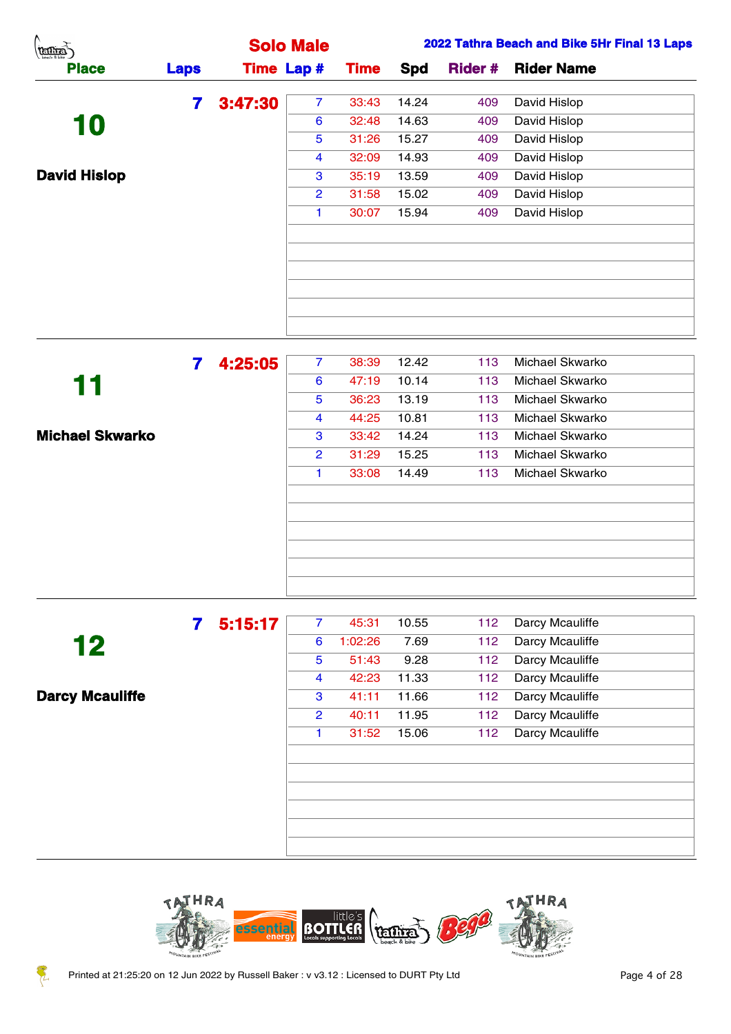| A.<br><b>TELLIER</b> |              |         | <b>Solo Male</b>  |             |       | 2022 Tathra Beach and Bike 5Hr Final 13 Laps |                           |  |  |  |
|----------------------|--------------|---------|-------------------|-------------|-------|----------------------------------------------|---------------------------|--|--|--|
| <b>Place</b>         | <b>Laps</b>  |         | <b>Time Lap #</b> | <b>Time</b> | Spd   |                                              | <b>Rider # Rider Name</b> |  |  |  |
|                      | $\mathbf{7}$ | 3:47:30 | $\overline{7}$    | 33:43       | 14.24 | 409                                          | David Hislop              |  |  |  |
| 10                   |              |         | 6                 | 32:48       | 14.63 | 409                                          | David Hislop              |  |  |  |
|                      |              |         | 5                 | 31:26       | 15.27 | 409                                          | David Hislop              |  |  |  |
|                      |              |         | $\overline{4}$    | 32:09       | 14.93 | 409                                          | David Hislop              |  |  |  |
| <b>David Hislop</b>  |              |         | 3                 | 35:19       | 13.59 | 409                                          | David Hislop              |  |  |  |
|                      |              |         | $\overline{2}$    | 31:58       | 15.02 | 409                                          | David Hislop              |  |  |  |
|                      |              |         |                   | 30:07       | 15.94 | 409                                          | David Hislop              |  |  |  |
|                      |              |         |                   |             |       |                                              |                           |  |  |  |
|                      |              |         |                   |             |       |                                              |                           |  |  |  |
|                      |              |         |                   |             |       |                                              |                           |  |  |  |
|                      |              |         |                   |             |       |                                              |                           |  |  |  |
|                      |              |         |                   |             |       |                                              |                           |  |  |  |
|                      |              |         |                   |             |       |                                              |                           |  |  |  |

|                        | 4:25:05 | $\overline{7}$ | 38:39 | 12.42 | 113 | Michael Skwarko |
|------------------------|---------|----------------|-------|-------|-----|-----------------|
| 11                     |         | 6              | 47:19 | 10.14 | 113 | Michael Skwarko |
|                        |         | 5              | 36:23 | 13.19 | 113 | Michael Skwarko |
|                        |         | 4              | 44:25 | 10.81 | 113 | Michael Skwarko |
| <b>Michael Skwarko</b> |         | 3              | 33:42 | 14.24 | 113 | Michael Skwarko |
|                        |         | $\overline{2}$ | 31:29 | 15.25 | 113 | Michael Skwarko |
|                        |         | 1.             | 33:08 | 14.49 | 113 | Michael Skwarko |
|                        |         |                |       |       |     |                 |
|                        |         |                |       |       |     |                 |
|                        |         |                |       |       |     |                 |
|                        |         |                |       |       |     |                 |
|                        |         |                |       |       |     |                 |
|                        |         |                |       |       |     |                 |

|                        | 5:15:17 | $\overline{7}$ | 45:31   | 10.55 | 112 | Darcy Mcauliffe |
|------------------------|---------|----------------|---------|-------|-----|-----------------|
| 12                     |         | 6              | 1:02:26 | 7.69  | 112 | Darcy Mcauliffe |
|                        |         | 5              | 51:43   | 9.28  | 112 | Darcy Mcauliffe |
|                        |         | 4              | 42:23   | 11.33 | 112 | Darcy Mcauliffe |
| <b>Darcy Mcauliffe</b> |         | 3              | 41:11   | 11.66 | 112 | Darcy Mcauliffe |
|                        |         | $\overline{2}$ | 40:11   | 11.95 | 112 | Darcy Mcauliffe |
|                        |         | 1.             | 31:52   | 15.06 | 112 | Darcy Mcauliffe |
|                        |         |                |         |       |     |                 |
|                        |         |                |         |       |     |                 |
|                        |         |                |         |       |     |                 |
|                        |         |                |         |       |     |                 |
|                        |         |                |         |       |     |                 |
|                        |         |                |         |       |     |                 |

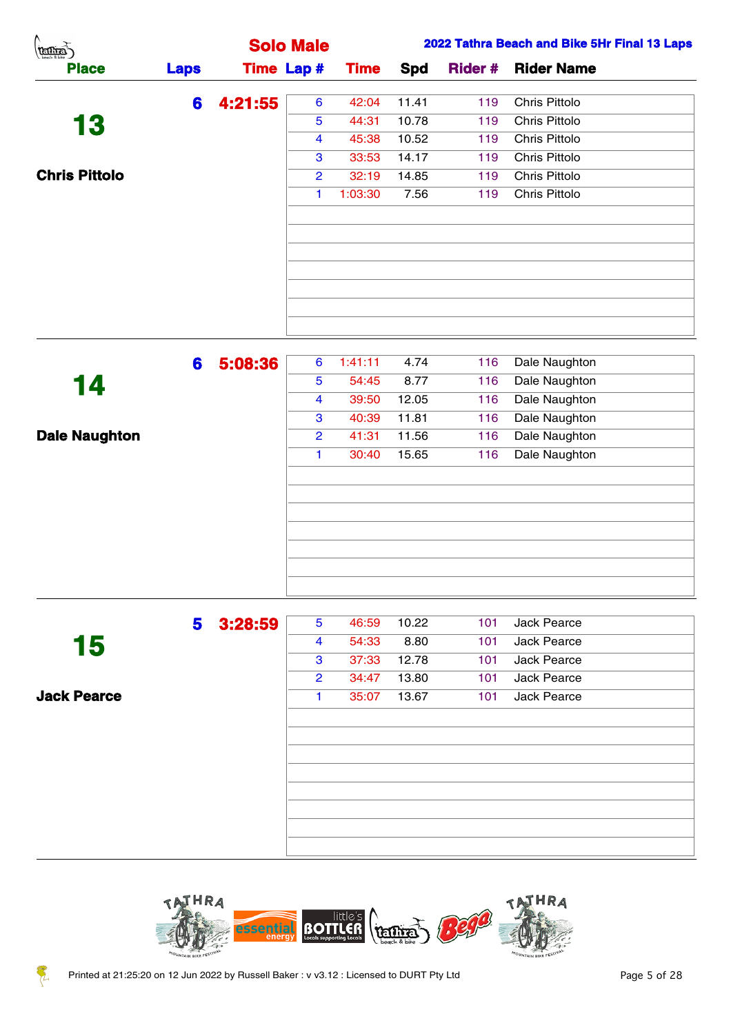| A.<br><b>REDITES</b> |             |                   | <b>Solo Male</b>     |             |       |                | 2022 Tathra Beach and Bike 5Hr Final 13 Laps |
|----------------------|-------------|-------------------|----------------------|-------------|-------|----------------|----------------------------------------------|
| <b>Place</b>         | <b>Laps</b> | <b>Time Lap #</b> |                      | <b>Time</b> | Spd   | <b>Rider #</b> | <b>Rider Name</b>                            |
|                      | 6           | 4:21:55           | 6                    | 42:04       | 11.41 | 119            | Chris Pittolo                                |
| 13                   |             |                   | $\overline{5}$       | 44:31       | 10.78 | 119            | Chris Pittolo                                |
|                      |             |                   | 4                    | 45:38       | 10.52 | 119            | Chris Pittolo                                |
|                      |             |                   | 3                    | 33:53       | 14.17 | 119            | Chris Pittolo                                |
| <b>Chris Pittolo</b> |             |                   | $\overline{2}$       | 32:19       | 14.85 | 119            | Chris Pittolo                                |
|                      |             |                   | $\blacktriangleleft$ | 1:03:30     | 7.56  | 119            | Chris Pittolo                                |
|                      |             |                   |                      |             |       |                |                                              |
|                      |             |                   |                      |             |       |                |                                              |
|                      |             |                   |                      |             |       |                |                                              |
|                      |             |                   |                      |             |       |                |                                              |
|                      |             |                   |                      |             |       |                |                                              |
|                      |             |                   |                      |             |       |                |                                              |
|                      | 6           | 5:08:36           | $6^{\circ}$          | 1:41:11     | 4.74  | 116            | Dale Naughton                                |
| 14                   |             |                   | $\overline{5}$       | 54:45       | 8.77  | 116            | Dale Naughton                                |
|                      |             |                   | 4                    | 39:50       | 12.05 | 116            | Dale Naughton                                |
|                      |             |                   | 3                    | 40:39       | 11.81 | 116            | Dale Naughton                                |
| <b>Dale Naughton</b> |             |                   | $\overline{2}$       | 41:31       | 11.56 | 116            | Dale Naughton                                |
|                      |             |                   | $\blacktriangleleft$ | 30:40       | 15.65 | 116            | Dale Naughton                                |

|                    | 5 | 3:28:59 | 5              | 46:59 | 10.22 | 101 | <b>Jack Pearce</b> |  |
|--------------------|---|---------|----------------|-------|-------|-----|--------------------|--|
| 15                 |   |         | 4              | 54:33 | 8.80  | 101 | Jack Pearce        |  |
|                    |   |         | 3              | 37:33 | 12.78 | 101 | Jack Pearce        |  |
|                    |   |         | $\overline{2}$ | 34:47 | 13.80 | 101 | <b>Jack Pearce</b> |  |
| <b>Jack Pearce</b> |   |         | 1.             | 35:07 | 13.67 | 101 | <b>Jack Pearce</b> |  |
|                    |   |         |                |       |       |     |                    |  |
|                    |   |         |                |       |       |     |                    |  |
|                    |   |         |                |       |       |     |                    |  |
|                    |   |         |                |       |       |     |                    |  |
|                    |   |         |                |       |       |     |                    |  |
|                    |   |         |                |       |       |     |                    |  |
|                    |   |         |                |       |       |     |                    |  |
|                    |   |         |                |       |       |     |                    |  |
|                    |   |         |                |       |       |     |                    |  |



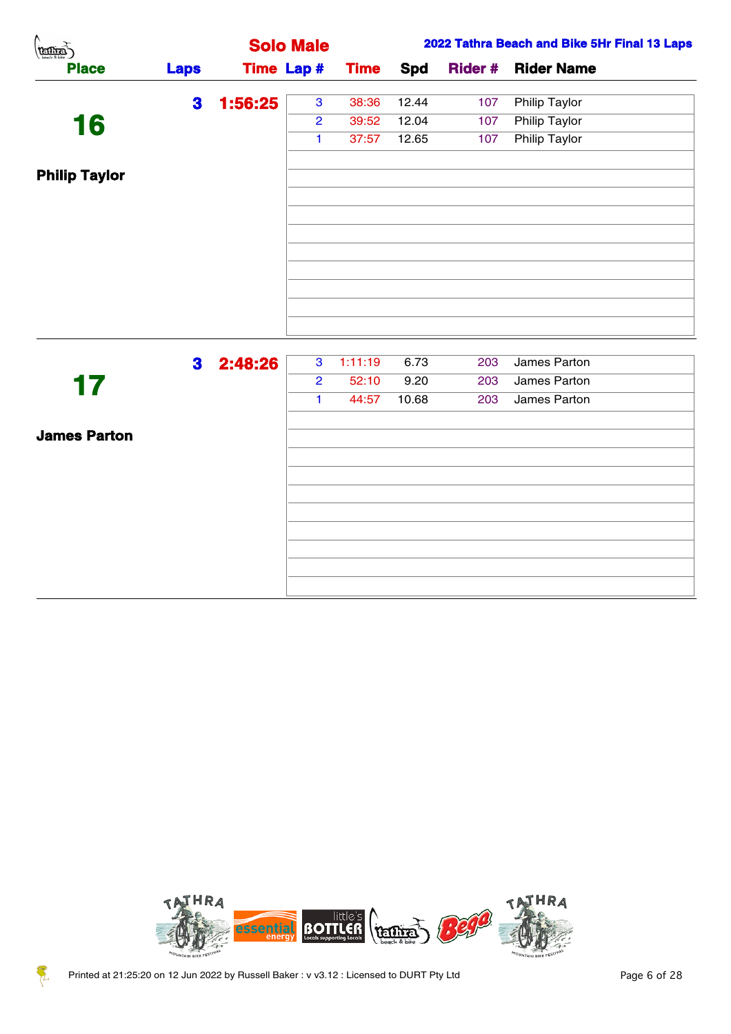| $\left(\underbrace{\text{train}}_{\text{beath}}\right)$ |                |         | <b>Solo Male</b>                 |                  |              |            | 2022 Tathra Beach and Bike 5Hr Final 13 Laps |
|---------------------------------------------------------|----------------|---------|----------------------------------|------------------|--------------|------------|----------------------------------------------|
| <b>Place</b>                                            | <b>Laps</b>    |         | <b>Time Lap #</b>                | <b>Time</b>      | <b>Spd</b>   |            | <b>Rider # Rider Name</b>                    |
|                                                         | 3 <sup>1</sup> | 1:56:25 | 3 <sup>1</sup>                   | 38:36            | 12.44        | 107        | <b>Philip Taylor</b>                         |
| 16                                                      |                |         | $\overline{2}$                   | 39:52            | 12.04        | 107        | <b>Philip Taylor</b>                         |
|                                                         |                |         | $\mathbf{1}$                     | 37:57            | 12.65        | 107        | <b>Philip Taylor</b>                         |
| <b>Philip Taylor</b>                                    |                |         |                                  |                  |              |            |                                              |
|                                                         |                |         |                                  |                  |              |            |                                              |
|                                                         |                |         |                                  |                  |              |            |                                              |
|                                                         |                |         |                                  |                  |              |            |                                              |
|                                                         |                |         |                                  |                  |              |            |                                              |
|                                                         |                |         |                                  |                  |              |            |                                              |
|                                                         |                |         |                                  |                  |              |            |                                              |
|                                                         |                |         |                                  |                  |              |            |                                              |
|                                                         |                |         |                                  |                  |              |            |                                              |
|                                                         | 3 <sup>1</sup> | 2:48:26 | 3 <sup>7</sup><br>$\overline{2}$ | 1:11:19<br>52:10 | 6.73<br>9.20 | 203<br>203 | James Parton<br>James Parton                 |
| 17                                                      |                |         | $\mathbf{1}$                     | 44:57            | 10.68        | 203        | James Parton                                 |
|                                                         |                |         |                                  |                  |              |            |                                              |
| <b>James Parton</b>                                     |                |         |                                  |                  |              |            |                                              |
|                                                         |                |         |                                  |                  |              |            |                                              |
|                                                         |                |         |                                  |                  |              |            |                                              |
|                                                         |                |         |                                  |                  |              |            |                                              |
|                                                         |                |         |                                  |                  |              |            |                                              |
|                                                         |                |         |                                  |                  |              |            |                                              |
|                                                         |                |         |                                  |                  |              |            |                                              |



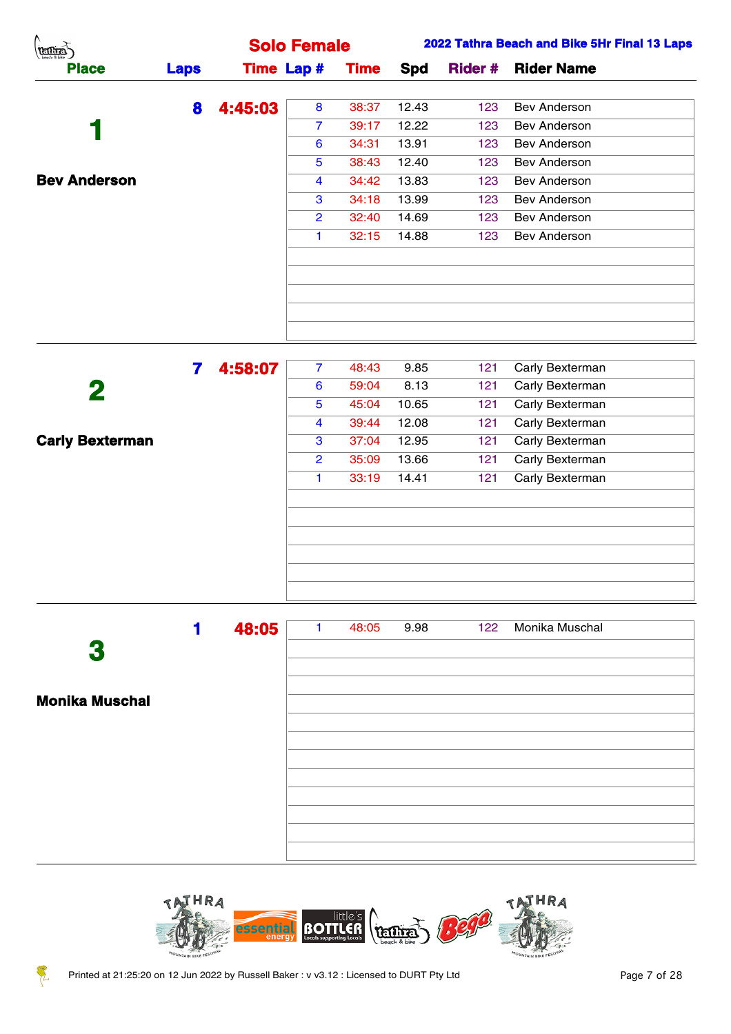| Λ.<br>(tentia)      |             |         | <b>Solo Female</b> |             |       |     | 2022 Tathra Beach and Bike 5Hr Final 13 Laps |
|---------------------|-------------|---------|--------------------|-------------|-------|-----|----------------------------------------------|
| <b>Place</b>        | <b>Laps</b> |         | <b>Time Lap #</b>  | <b>Time</b> | Spd   |     | <b>Rider # Rider Name</b>                    |
|                     | 8           | 4:45:03 | 8                  | 38:37       | 12.43 | 123 | Bev Anderson                                 |
|                     |             |         | $\overline{7}$     | 39:17       | 12.22 | 123 | Bev Anderson                                 |
|                     |             |         | $6\phantom{1}6$    | 34:31       | 13.91 | 123 | Bev Anderson                                 |
|                     |             |         | $\overline{5}$     | 38:43       | 12.40 | 123 | Bev Anderson                                 |
| <b>Bev Anderson</b> |             |         | $\overline{4}$     | 34:42       | 13.83 | 123 | Bev Anderson                                 |
|                     |             |         | 3                  | 34:18       | 13.99 | 123 | Bev Anderson                                 |
|                     |             |         | $\overline{2}$     | 32:40       | 14.69 | 123 | Bev Anderson                                 |
|                     |             |         |                    | 32:15       | 14.88 | 123 | Bev Anderson                                 |
|                     |             |         |                    |             |       |     |                                              |
|                     |             |         |                    |             |       |     |                                              |
|                     |             |         |                    |             |       |     |                                              |
|                     |             |         |                    |             |       |     |                                              |
|                     |             |         |                    |             |       |     |                                              |

|                        | 4:58:07 | $\overline{7}$ | 48:43 | 9.85  | 121 | Carly Bexterman |  |
|------------------------|---------|----------------|-------|-------|-----|-----------------|--|
| 2                      |         | 6              | 59:04 | 8.13  | 121 | Carly Bexterman |  |
|                        |         | 5              | 45:04 | 10.65 | 121 | Carly Bexterman |  |
|                        |         | 4              | 39:44 | 12.08 | 121 | Carly Bexterman |  |
| <b>Carly Bexterman</b> |         | 3              | 37:04 | 12.95 | 121 | Carly Bexterman |  |
|                        |         | $\overline{2}$ | 35:09 | 13.66 | 121 | Carly Bexterman |  |
|                        |         | 1.             | 33:19 | 14.41 | 121 | Carly Bexterman |  |
|                        |         |                |       |       |     |                 |  |
|                        |         |                |       |       |     |                 |  |
|                        |         |                |       |       |     |                 |  |
|                        |         |                |       |       |     |                 |  |
|                        |         |                |       |       |     |                 |  |
|                        |         |                |       |       |     |                 |  |

|                       | 48:05 | 48:05 | 9.98 | 122 | Monika Muschal |  |
|-----------------------|-------|-------|------|-----|----------------|--|
| 3                     |       |       |      |     |                |  |
|                       |       |       |      |     |                |  |
| <b>Monika Muschal</b> |       |       |      |     |                |  |
|                       |       |       |      |     |                |  |
|                       |       |       |      |     |                |  |
|                       |       |       |      |     |                |  |
|                       |       |       |      |     |                |  |
|                       |       |       |      |     |                |  |
|                       |       |       |      |     |                |  |
|                       |       |       |      |     |                |  |



Z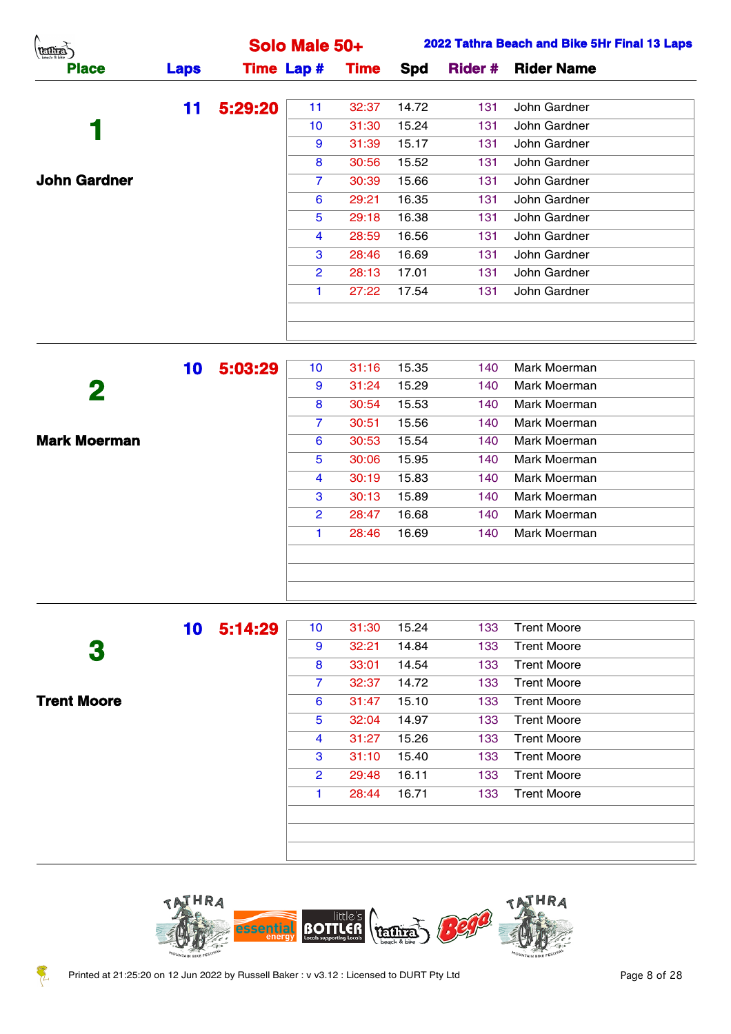| (tanas)             |             |         | Solo Male 50+     |             |       |                | 2022 Tathra Beach and Bike 5Hr Final 13 Laps |
|---------------------|-------------|---------|-------------------|-------------|-------|----------------|----------------------------------------------|
| <b>Place</b>        | <b>Laps</b> |         | <b>Time Lap #</b> | <b>Time</b> | Spd   | <b>Rider #</b> | <b>Rider Name</b>                            |
|                     | 11          | 5:29:20 | 11                | 32:37       | 14.72 | 131            | John Gardner                                 |
|                     |             |         | 10 <sup>°</sup>   | 31:30       | 15.24 | 131            | John Gardner                                 |
|                     |             |         | 9                 | 31:39       | 15.17 | 131            | John Gardner                                 |
|                     |             |         | 8                 | 30:56       | 15.52 | 131            | John Gardner                                 |
| <b>John Gardner</b> |             |         | $\overline{7}$    | 30:39       | 15.66 | 131            | John Gardner                                 |
|                     |             |         | 6                 | 29:21       | 16.35 | 131            | John Gardner                                 |
|                     |             |         | 5                 | 29:18       | 16.38 | 131            | John Gardner                                 |
|                     |             |         | 4                 | 28:59       | 16.56 | 131            | John Gardner                                 |
|                     |             |         | 3                 | 28:46       | 16.69 | 131            | John Gardner                                 |
|                     |             |         | $\overline{2}$    | 28:13       | 17.01 | 131            | John Gardner                                 |
|                     |             |         |                   | 27:22       | 17.54 | 131            | John Gardner                                 |
|                     |             |         |                   |             |       |                |                                              |
|                     |             |         |                   |             |       |                |                                              |
|                     | 10          | 5:03:29 | 10 <sup>°</sup>   | 31:16       | 15.35 | 140            | Mark Moerman                                 |

|                     | IV. | J.VJ.ZJ | . .            | .     |       |     | 1            |  |
|---------------------|-----|---------|----------------|-------|-------|-----|--------------|--|
| 2                   |     |         | 9              | 31:24 | 15.29 | 140 | Mark Moerman |  |
|                     |     |         | 8              | 30:54 | 15.53 | 140 | Mark Moerman |  |
|                     |     |         | $\mathbf{7}$   | 30:51 | 15.56 | 140 | Mark Moerman |  |
| <b>Mark Moerman</b> |     |         | 6              | 30:53 | 15.54 | 140 | Mark Moerman |  |
|                     |     |         | 5              | 30:06 | 15.95 | 140 | Mark Moerman |  |
|                     |     |         | 4              | 30:19 | 15.83 | 140 | Mark Moerman |  |
|                     |     |         | 3              | 30:13 | 15.89 | 140 | Mark Moerman |  |
|                     |     |         | $\overline{2}$ | 28:47 | 16.68 | 140 | Mark Moerman |  |
|                     |     |         | 1.             | 28:46 | 16.69 | 140 | Mark Moerman |  |
|                     |     |         |                |       |       |     |              |  |
|                     |     |         |                |       |       |     |              |  |
|                     |     |         |                |       |       |     |              |  |
|                     |     |         |                |       |       |     |              |  |

|                    | 10 | 5:14:29 | 10 <sup>°</sup> | 31:30 | 15.24 | 133 | <b>Trent Moore</b> |
|--------------------|----|---------|-----------------|-------|-------|-----|--------------------|
| 3                  |    |         | 9               | 32:21 | 14.84 | 133 | <b>Trent Moore</b> |
|                    |    |         | 8               | 33:01 | 14.54 | 133 | <b>Trent Moore</b> |
|                    |    |         | 7               | 32:37 | 14.72 | 133 | <b>Trent Moore</b> |
| <b>Trent Moore</b> |    |         | 6               | 31:47 | 15.10 | 133 | <b>Trent Moore</b> |
|                    |    |         | 5               | 32:04 | 14.97 | 133 | <b>Trent Moore</b> |
|                    |    |         | 4               | 31:27 | 15.26 | 133 | <b>Trent Moore</b> |
|                    |    |         | 3               | 31:10 | 15.40 | 133 | <b>Trent Moore</b> |
|                    |    |         | $\overline{2}$  | 29:48 | 16.11 | 133 | <b>Trent Moore</b> |
|                    |    |         | 1               | 28:44 | 16.71 | 133 | <b>Trent Moore</b> |
|                    |    |         |                 |       |       |     |                    |
|                    |    |         |                 |       |       |     |                    |
|                    |    |         |                 |       |       |     |                    |



Z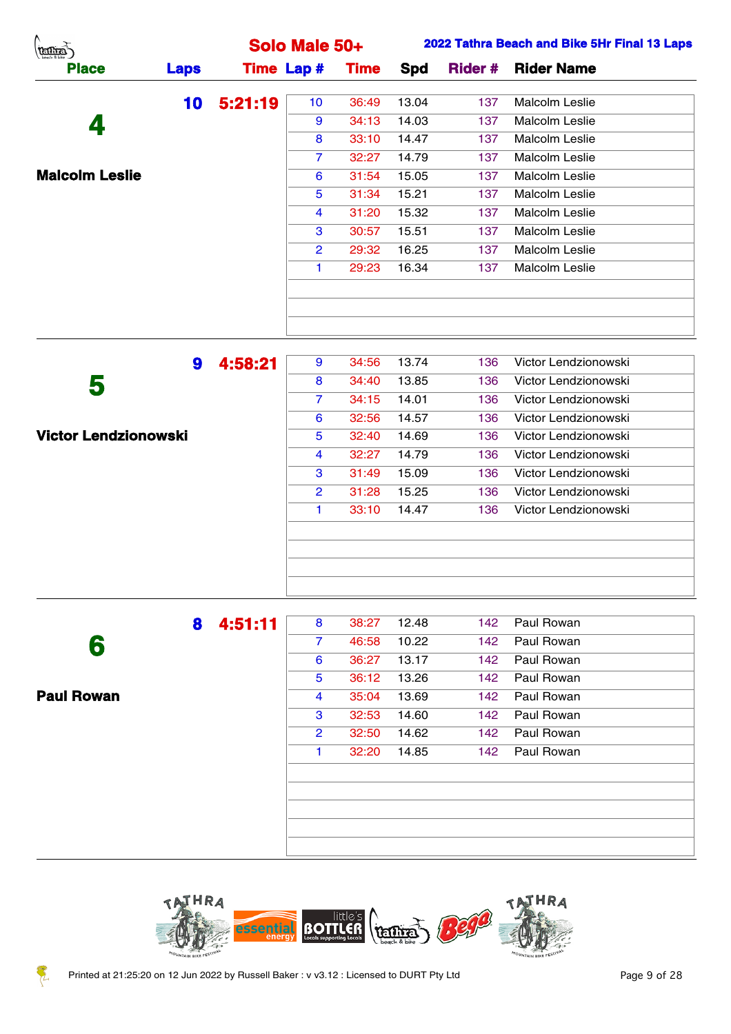| (terms)               |             |         | Solo Male 50+     |             |       |                | 2022 Tathra Beach and Bike 5Hr Final 13 Laps |
|-----------------------|-------------|---------|-------------------|-------------|-------|----------------|----------------------------------------------|
| <b>Place</b>          | <b>Laps</b> |         | <b>Time Lap #</b> | <b>Time</b> | Spd   | <b>Rider #</b> | <b>Rider Name</b>                            |
|                       | 10          | 5:21:19 | 10 <sub>1</sub>   | 36:49       | 13.04 | 137            | Malcolm Leslie                               |
| 4                     |             |         | 9                 | 34:13       | 14.03 | 137            | Malcolm Leslie                               |
|                       |             |         | 8                 | 33:10       | 14.47 | 137            | Malcolm Leslie                               |
|                       |             |         | $\overline{7}$    | 32:27       | 14.79 | 137            | Malcolm Leslie                               |
| <b>Malcolm Leslie</b> |             |         | 6                 | 31:54       | 15.05 | 137            | Malcolm Leslie                               |
|                       |             |         | $5\phantom{.0}$   | 31:34       | 15.21 | 137            | Malcolm Leslie                               |
|                       |             |         | $\overline{4}$    | 31:20       | 15.32 | 137            | Malcolm Leslie                               |
|                       |             |         | 3                 | 30:57       | 15.51 | 137            | Malcolm Leslie                               |
|                       |             |         | $\overline{2}$    | 29:32       | 16.25 | 137            | Malcolm Leslie                               |
|                       |             |         |                   | 29:23       | 16.34 | 137            | Malcolm Leslie                               |
|                       |             |         |                   |             |       |                |                                              |
|                       |             |         |                   |             |       |                |                                              |
|                       |             |         |                   |             |       |                |                                              |

|                             | 9 | 4:58:21 | 9              | 34:56 | 13.74 | 136 | Victor Lendzionowski |
|-----------------------------|---|---------|----------------|-------|-------|-----|----------------------|
| 5                           |   |         | 8              | 34:40 | 13.85 | 136 | Victor Lendzionowski |
|                             |   |         | $\overline{7}$ | 34:15 | 14.01 | 136 | Victor Lendzionowski |
|                             |   |         | 6              | 32:56 | 14.57 | 136 | Victor Lendzionowski |
| <b>Victor Lendzionowski</b> |   |         | 5              | 32:40 | 14.69 | 136 | Victor Lendzionowski |
|                             |   |         | 4              | 32:27 | 14.79 | 136 | Victor Lendzionowski |
|                             |   |         | 3              | 31:49 | 15.09 | 136 | Victor Lendzionowski |
|                             |   |         | 2              | 31:28 | 15.25 | 136 | Victor Lendzionowski |
|                             |   |         |                | 33:10 | 14.47 | 136 | Victor Lendzionowski |
|                             |   |         |                |       |       |     |                      |
|                             |   |         |                |       |       |     |                      |
|                             |   |         |                |       |       |     |                      |
|                             |   |         |                |       |       |     |                      |

 **Paul Rowan 4:51:11** 8 38:27 12.48 142 Paul Rowan 46:58 10.22 142 Paul Rowan 36:27 13.17 142 Paul Rowan 36:12 13.26 142 Paul Rowan 35:04 13.69 142 Paul Rowan 32:53 14.60 142 Paul Rowan 32:50 14.62 142 Paul Rowan 1 32:20 14.85 142 Paul Rowan



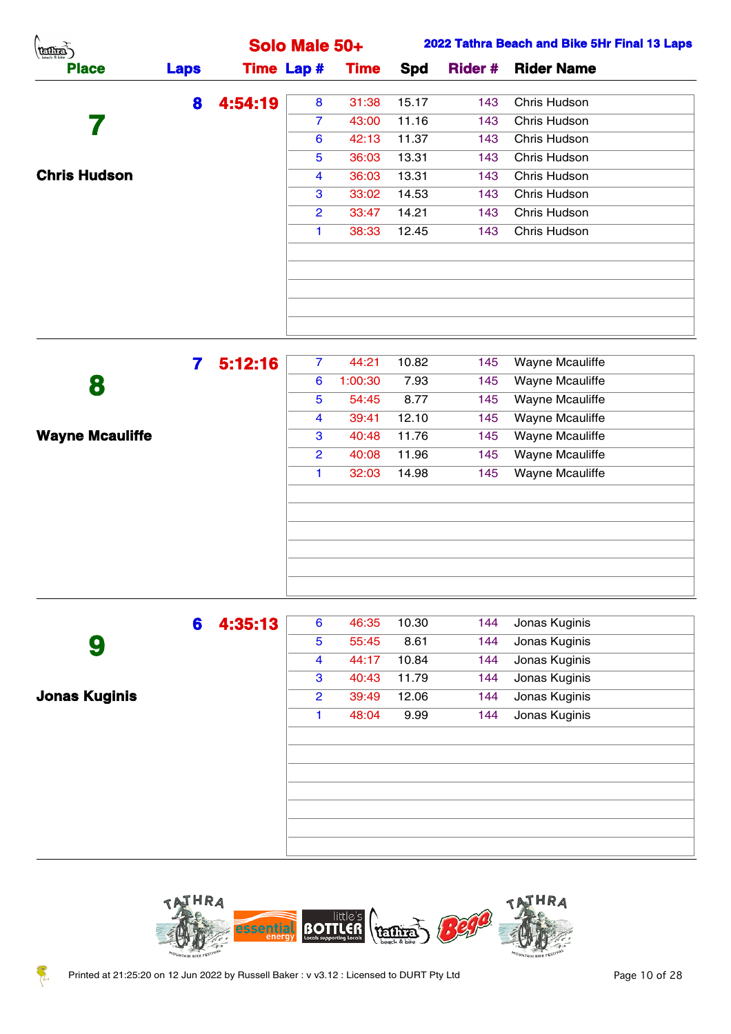| (Terms)             |             |         | Solo Male 50+     |             |       |     | 2022 Tathra Beach and Bike 5Hr Final 13 Laps |
|---------------------|-------------|---------|-------------------|-------------|-------|-----|----------------------------------------------|
| <b>Place</b>        | <b>Laps</b> |         | <b>Time Lap #</b> | <b>Time</b> | Spd   |     | <b>Rider # Rider Name</b>                    |
|                     | 8           | 4:54:19 | 8                 | 31:38       | 15.17 | 143 | Chris Hudson                                 |
|                     |             |         | $\overline{7}$    | 43:00       | 11.16 | 143 | Chris Hudson                                 |
|                     |             |         | 6                 | 42:13       | 11.37 | 143 | Chris Hudson                                 |
|                     |             |         | $5\overline{)}$   | 36:03       | 13.31 | 143 | Chris Hudson                                 |
| <b>Chris Hudson</b> |             |         | 4                 | 36:03       | 13.31 | 143 | Chris Hudson                                 |
|                     |             |         | 3                 | 33:02       | 14.53 | 143 | Chris Hudson                                 |
|                     |             |         | $\overline{2}$    | 33:47       | 14.21 | 143 | Chris Hudson                                 |
|                     |             |         |                   | 38:33       | 12.45 | 143 | Chris Hudson                                 |
|                     |             |         |                   |             |       |     |                                              |
|                     |             |         |                   |             |       |     |                                              |
|                     |             |         |                   |             |       |     |                                              |
|                     |             |         |                   |             |       |     |                                              |
|                     |             |         |                   |             |       |     |                                              |

|                        | 5:12:16 | $\overline{7}$ | 44:21   | 10.82 | 145 | Wayne Mcauliffe        |
|------------------------|---------|----------------|---------|-------|-----|------------------------|
| 8                      |         | 6              | 1:00:30 | 7.93  | 145 | Wayne Mcauliffe        |
|                        |         | 5              | 54:45   | 8.77  | 145 | Wayne Mcauliffe        |
|                        |         | 4              | 39:41   | 12.10 | 145 | Wayne Mcauliffe        |
| <b>Wayne Mcauliffe</b> |         | 3              | 40:48   | 11.76 | 145 | <b>Wayne Mcauliffe</b> |
|                        |         | $\overline{2}$ | 40:08   | 11.96 | 145 | Wayne Mcauliffe        |
|                        |         | 1              | 32:03   | 14.98 | 145 | <b>Wayne Mcauliffe</b> |
|                        |         |                |         |       |     |                        |
|                        |         |                |         |       |     |                        |
|                        |         |                |         |       |     |                        |
|                        |         |                |         |       |     |                        |
|                        |         |                |         |       |     |                        |
|                        |         |                |         |       |     |                        |

|                      | 6 | 4:35:13 | 6              | 46:35 | 10.30 | 144 | Jonas Kuginis |  |
|----------------------|---|---------|----------------|-------|-------|-----|---------------|--|
| 9                    |   |         | 5              | 55:45 | 8.61  | 144 | Jonas Kuginis |  |
|                      |   |         | 4              | 44:17 | 10.84 | 144 | Jonas Kuginis |  |
|                      |   |         | 3              | 40:43 | 11.79 | 144 | Jonas Kuginis |  |
| <b>Jonas Kuginis</b> |   |         | $\overline{2}$ | 39:49 | 12.06 | 144 | Jonas Kuginis |  |
|                      |   |         |                | 48:04 | 9.99  | 144 | Jonas Kuginis |  |
|                      |   |         |                |       |       |     |               |  |
|                      |   |         |                |       |       |     |               |  |
|                      |   |         |                |       |       |     |               |  |
|                      |   |         |                |       |       |     |               |  |
|                      |   |         |                |       |       |     |               |  |
|                      |   |         |                |       |       |     |               |  |
|                      |   |         |                |       |       |     |               |  |

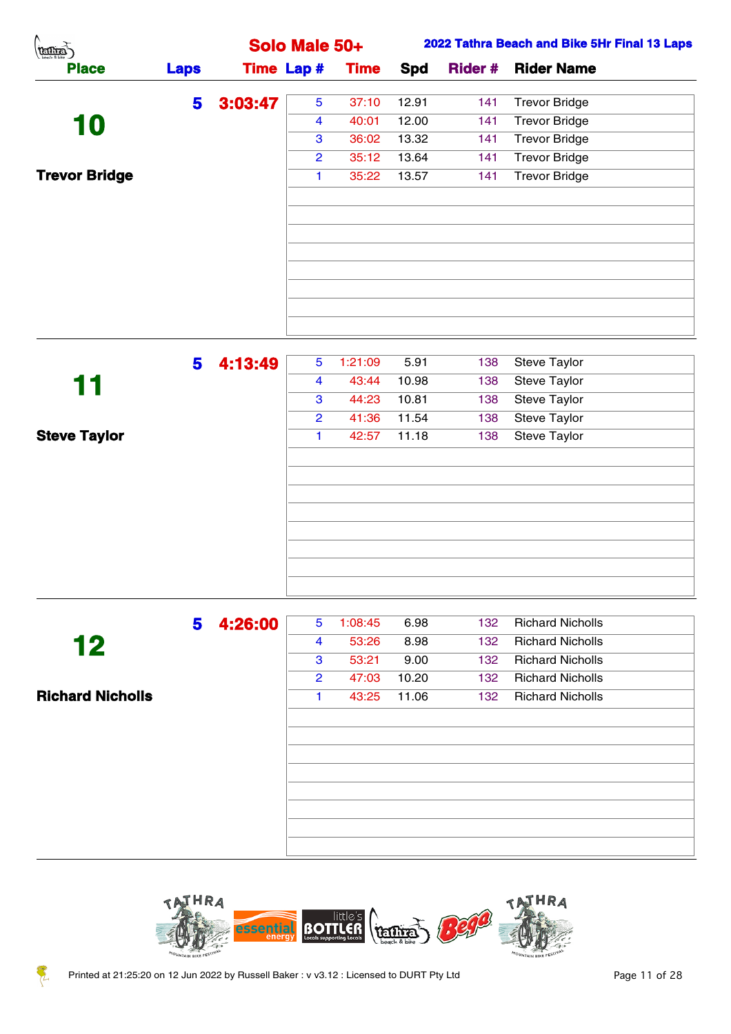| Λ<br>(temps)         |                |                   | Solo Male 50+        |                  |               |            | 2022 Tathra Beach and Bike 5Hr Final 13 Laps |
|----------------------|----------------|-------------------|----------------------|------------------|---------------|------------|----------------------------------------------|
| <b>Place</b>         | <b>Laps</b>    | <b>Time Lap #</b> |                      | <b>Time</b>      | Spd           |            | <b>Rider # Rider Name</b>                    |
|                      | 5              | 3:03:47           | $5\phantom{.0}$      | 37:10            | 12.91         | 141        | <b>Trevor Bridge</b>                         |
| 10                   |                |                   | 4                    | 40:01            | 12.00         | 141        | <b>Trevor Bridge</b>                         |
|                      |                |                   | 3                    | 36:02            | 13.32         | 141        | <b>Trevor Bridge</b>                         |
|                      |                |                   | $\overline{2}$       | 35:12            | 13.64         | 141        | <b>Trevor Bridge</b>                         |
| <b>Trevor Bridge</b> |                |                   | $\blacktriangleleft$ | 35:22            | 13.57         | 141        | <b>Trevor Bridge</b>                         |
|                      |                |                   |                      |                  |               |            |                                              |
|                      | 5 <sub>1</sub> | 4:13:49           | 5 <sup>5</sup><br>4  | 1:21:09<br>43:44 | 5.91<br>10.98 | 138<br>138 | Steve Taylor<br>Steve Taylor                 |
| 11                   |                |                   | $\mathbf{3}$         | 44:23            | 10.81         | 138        | Steve Taylor                                 |
|                      |                |                   | $\overline{2}$       | 41:36            | 11.54         | 138        | Steve Taylor                                 |
| <b>Steve Taylor</b>  |                |                   |                      | 42:57            | 11.18         | 138        | Steve Taylor                                 |

|                         | 5 | 4:26:00 | 5              | 1:08:45 | 6.98  | 132              | <b>Richard Nicholls</b> |  |
|-------------------------|---|---------|----------------|---------|-------|------------------|-------------------------|--|
| 12                      |   |         | 4              | 53:26   | 8.98  | 132              | <b>Richard Nicholls</b> |  |
|                         |   |         | 3              | 53:21   | 9.00  | 132 <sub>1</sub> | <b>Richard Nicholls</b> |  |
|                         |   |         | $\overline{2}$ | 47:03   | 10.20 | 132              | <b>Richard Nicholls</b> |  |
| <b>Richard Nicholls</b> |   |         |                | 43:25   | 11.06 | 132              | <b>Richard Nicholls</b> |  |
|                         |   |         |                |         |       |                  |                         |  |
|                         |   |         |                |         |       |                  |                         |  |
|                         |   |         |                |         |       |                  |                         |  |
|                         |   |         |                |         |       |                  |                         |  |
|                         |   |         |                |         |       |                  |                         |  |
|                         |   |         |                |         |       |                  |                         |  |
|                         |   |         |                |         |       |                  |                         |  |
|                         |   |         |                |         |       |                  |                         |  |
|                         |   |         |                |         |       |                  |                         |  |





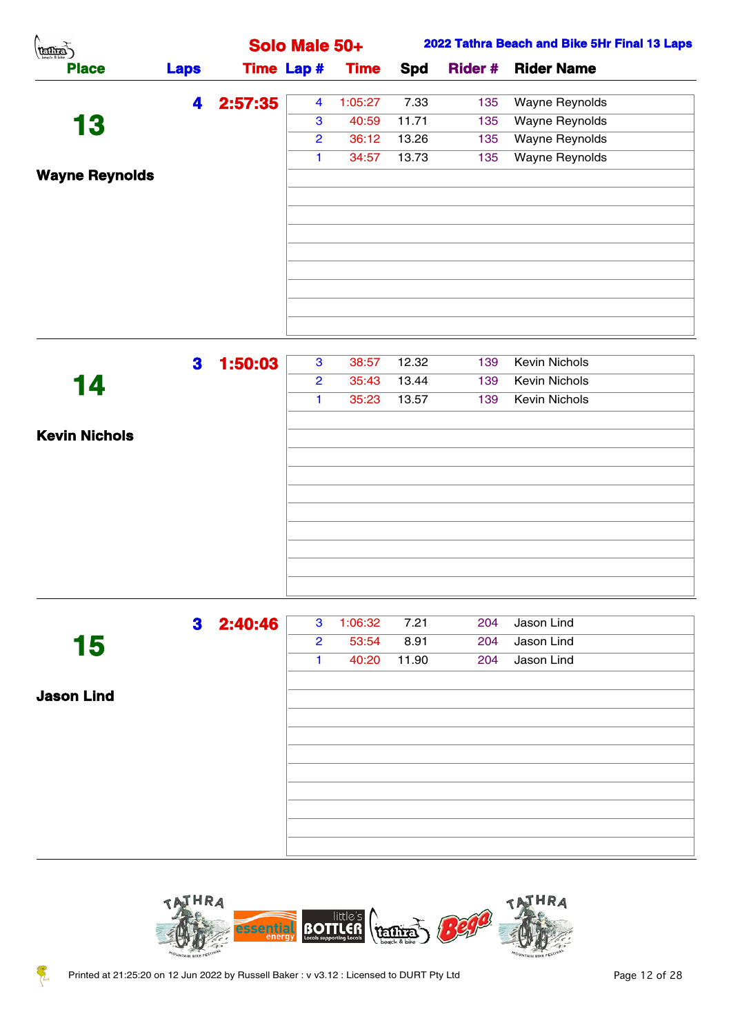| A.<br>(Tennes)        |             |         | Solo Male 50+        |             |            |                | 2022 Tathra Beach and Bike 5Hr Final 13 Laps |
|-----------------------|-------------|---------|----------------------|-------------|------------|----------------|----------------------------------------------|
| <b>Place</b>          | <b>Laps</b> |         | <b>Time Lap #</b>    | <b>Time</b> | <b>Spd</b> | <b>Rider #</b> | <b>Rider Name</b>                            |
|                       | 4           | 2:57:35 | $\overline{4}$       | 1:05:27     | 7.33       | 135            | Wayne Reynolds                               |
| 13                    |             |         | 3                    | 40:59       | 11.71      | 135            | Wayne Reynolds                               |
|                       |             |         | $\overline{2}$       | 36:12       | 13.26      | 135            | Wayne Reynolds                               |
|                       |             |         | $\blacktriangleleft$ | 34:57       | 13.73      | 135            | Wayne Reynolds                               |
| <b>Wayne Reynolds</b> |             |         |                      |             |            |                |                                              |
|                       |             |         |                      |             |            |                |                                              |
|                       |             |         |                      |             |            |                |                                              |
|                       |             |         |                      |             |            |                |                                              |
|                       |             |         |                      |             |            |                |                                              |
|                       |             |         |                      |             |            |                |                                              |
|                       |             |         |                      |             |            |                |                                              |
|                       |             |         |                      |             |            |                |                                              |
|                       |             |         |                      |             |            |                |                                              |
|                       | 3           | 1:50:03 | $\mathbf{3}$         | 38:57       | 12.32      | 139            | Kevin Nichols                                |
| 14                    |             |         | $\overline{2}$       | 35:43       | 13.44      | 139            | Kevin Nichols                                |
|                       |             |         | $\blacktriangleleft$ | 35:23       | 13.57      | 139            | Kevin Nichols                                |
|                       |             |         |                      |             |            |                |                                              |
| <b>Kevin Nichols</b>  |             |         |                      |             |            |                |                                              |
|                       |             |         |                      |             |            |                |                                              |

|            | 3 | 2:40:46 | 3              | 1:06:32 | 7.21  | 204 | Jason Lind |  |
|------------|---|---------|----------------|---------|-------|-----|------------|--|
| 15         |   |         | $\overline{2}$ | 53:54   | 8.91  | 204 | Jason Lind |  |
|            |   |         | 1.             | 40:20   | 11.90 | 204 | Jason Lind |  |
|            |   |         |                |         |       |     |            |  |
| Jason Lind |   |         |                |         |       |     |            |  |
|            |   |         |                |         |       |     |            |  |
|            |   |         |                |         |       |     |            |  |
|            |   |         |                |         |       |     |            |  |
|            |   |         |                |         |       |     |            |  |
|            |   |         |                |         |       |     |            |  |
|            |   |         |                |         |       |     |            |  |
|            |   |         |                |         |       |     |            |  |
|            |   |         |                |         |       |     |            |  |



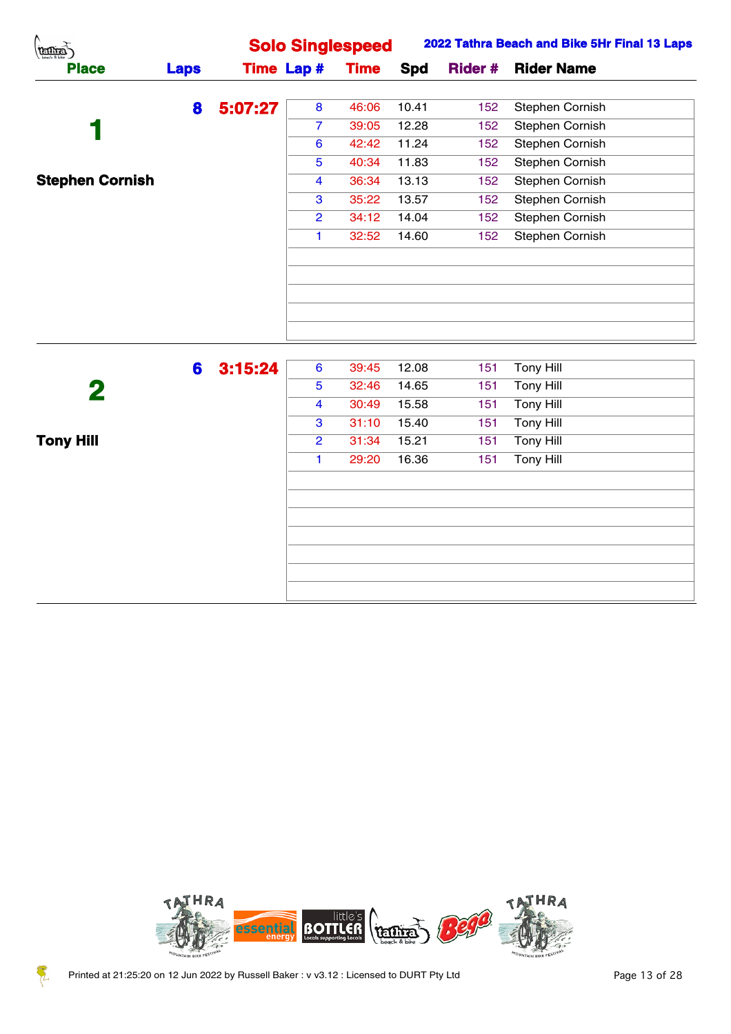| $\binom{\text{min}}{\text{min}}$ |             |         |                         | <b>Solo Singlespeed</b> |            |                | 2022 Tathra Beach and Bike 5Hr Final 13 Laps |
|----------------------------------|-------------|---------|-------------------------|-------------------------|------------|----------------|----------------------------------------------|
| <b>Place</b>                     | <b>Laps</b> |         | <b>Time Lap #</b>       | <b>Time</b>             | <b>Spd</b> | <b>Rider #</b> | <b>Rider Name</b>                            |
|                                  | 8           | 5:07:27 | 8                       | 46:06                   | 10.41      | 152            | Stephen Cornish                              |
|                                  |             |         | $\overline{7}$          | 39:05                   | 12.28      | 152            | <b>Stephen Cornish</b>                       |
|                                  |             |         | $6\phantom{1}6$         | 42:42                   | 11.24      | 152            | Stephen Cornish                              |
|                                  |             |         | $5\phantom{.0}$         | 40:34                   | 11.83      | 152            | Stephen Cornish                              |
| <b>Stephen Cornish</b>           |             |         | $\overline{4}$          | 36:34                   | 13.13      | 152            | <b>Stephen Cornish</b>                       |
|                                  |             |         | 3                       | 35:22                   | 13.57      | 152            | Stephen Cornish                              |
|                                  |             |         | $\overline{2}$          | 34:12                   | 14.04      | 152            | Stephen Cornish                              |
|                                  |             |         | $\mathbf{1}$            | 32:52                   | 14.60      | 152            | Stephen Cornish                              |
|                                  |             |         |                         |                         |            |                |                                              |
|                                  |             |         |                         |                         |            |                |                                              |
|                                  |             |         |                         |                         |            |                |                                              |
|                                  |             |         |                         |                         |            |                |                                              |
|                                  |             |         |                         |                         |            |                |                                              |
|                                  |             |         |                         |                         |            |                |                                              |
|                                  | 6           | 3:15:24 | $6\phantom{1}6$         | 39:45                   | 12.08      | 151            | <b>Tony Hill</b>                             |
| $\overline{\mathbf{2}}$          |             |         | $\overline{5}$          | 32:46                   | 14.65      | 151            | <b>Tony Hill</b>                             |
|                                  |             |         | $\overline{\mathbf{4}}$ | 30:49                   | 15.58      | 151            | <b>Tony Hill</b>                             |
|                                  |             |         | 3                       | 31:10                   | 15.40      | 151            | <b>Tony Hill</b>                             |
| <b>Tony Hill</b>                 |             |         | $\overline{2}$          | 31:34                   | 15.21      | 151            | <b>Tony Hill</b>                             |
|                                  |             |         | $\mathbf{1}$            | 29:20                   | 16.36      | 151            | <b>Tony Hill</b>                             |
|                                  |             |         |                         |                         |            |                |                                              |
|                                  |             |         |                         |                         |            |                |                                              |
|                                  |             |         |                         |                         |            |                |                                              |
|                                  |             |         |                         |                         |            |                |                                              |
|                                  |             |         |                         |                         |            |                |                                              |
|                                  |             |         |                         |                         |            |                |                                              |
|                                  |             |         |                         |                         |            |                |                                              |
|                                  |             |         |                         |                         |            |                |                                              |



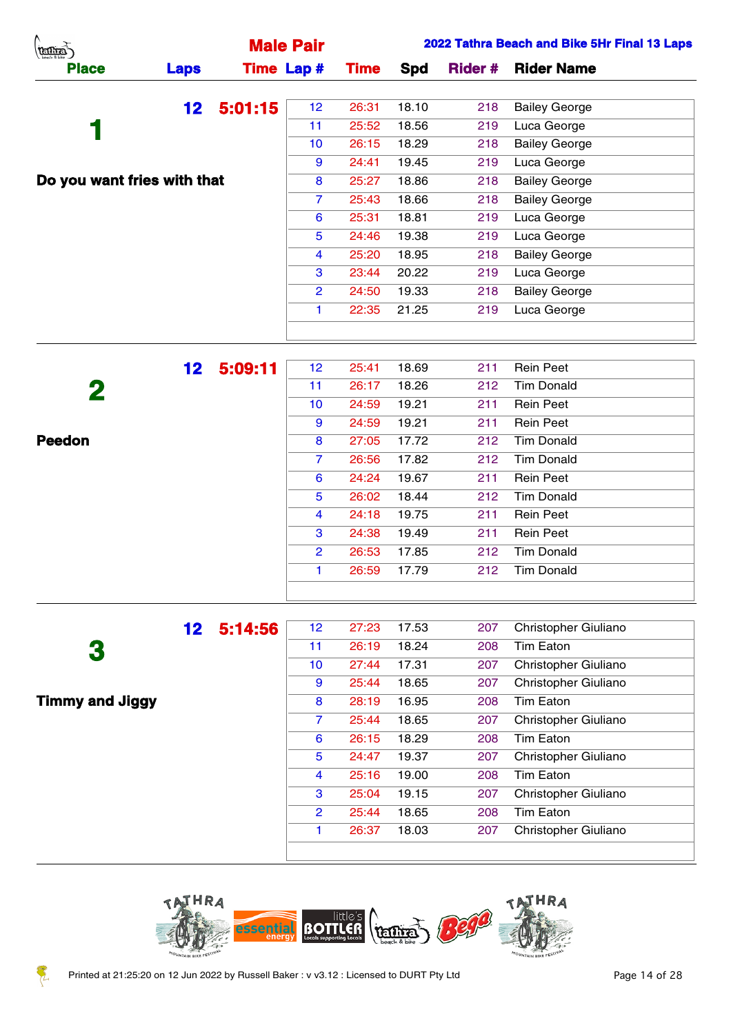|                 |                             |                                                  |            |                | 2022 Tathra Beach and Bike 5Hr Final 13 Laps |
|-----------------|-----------------------------|--------------------------------------------------|------------|----------------|----------------------------------------------|
| <b>Laps</b>     |                             | <b>Time</b>                                      | <b>Spd</b> | <b>Rider #</b> | <b>Rider Name</b>                            |
| 12 <sub>2</sub> | 12 <sub>2</sub>             | 26:31                                            | 18.10      | 218            | <b>Bailey George</b>                         |
|                 | 11                          | 25:52                                            | 18.56      | 219            | Luca George                                  |
|                 | 10                          | 26:15                                            | 18.29      | 218            | <b>Bailey George</b>                         |
|                 | 9                           | 24:41                                            | 19.45      | 219            | Luca George                                  |
|                 | 8                           | 25:27                                            | 18.86      | 218            | <b>Bailey George</b>                         |
|                 | $\overline{7}$              | 25:43                                            | 18.66      | 218            | <b>Bailey George</b>                         |
|                 | 6                           | 25:31                                            | 18.81      | 219            | Luca George                                  |
|                 | 5                           | 24:46                                            | 19.38      | 219            | Luca George                                  |
|                 | $\overline{4}$              | 25:20                                            | 18.95      | 218            | <b>Bailey George</b>                         |
|                 | 3                           | 23:44                                            | 20.22      | 219            | Luca George                                  |
|                 | $\mathbf{2}$                | 24:50                                            | 19.33      | 218            | <b>Bailey George</b>                         |
|                 |                             | 22:35                                            | 21.25      | 219            | Luca George                                  |
|                 |                             |                                                  |            |                |                                              |
|                 | Do you want fries with that | <b>Male Pair</b><br><b>Time Lap #</b><br>5:01:15 |            |                |                                              |

| 5:09:11<br>12 <sub>2</sub><br>12 <sub>2</sub><br>18.69<br><b>Rein Peet</b><br>25:41<br>211<br>2<br><b>Tim Donald</b><br>11<br>18.26<br>212<br>26:17 |  |
|-----------------------------------------------------------------------------------------------------------------------------------------------------|--|
|                                                                                                                                                     |  |
|                                                                                                                                                     |  |
| 10<br>19.21<br><b>Rein Peet</b><br>24:59<br>211                                                                                                     |  |
| 9<br><b>Rein Peet</b><br>19.21<br>24:59<br>211                                                                                                      |  |
| Peedon<br>8<br><b>Tim Donald</b><br>17.72<br>212<br>27:05                                                                                           |  |
| <b>Tim Donald</b><br>$\mathbf{7}$<br>17.82<br>26:56<br>212                                                                                          |  |
| 6<br>19.67<br><b>Rein Peet</b><br>24:24<br>211                                                                                                      |  |
| <b>Tim Donald</b><br>5<br>18.44<br>212<br>26:02                                                                                                     |  |
| 4<br>19.75<br>211<br><b>Rein Peet</b><br>24:18                                                                                                      |  |
| 3<br>19.49<br>211<br><b>Rein Peet</b><br>24:38                                                                                                      |  |
| <b>Tim Donald</b><br>212<br>$\overline{2}$<br>17.85<br>26:53                                                                                        |  |
| <b>Tim Donald</b><br>17.79<br>26:59<br>212<br>1.                                                                                                    |  |
|                                                                                                                                                     |  |

|                        | 12 <sup>1</sup> | 5:14:56 | 12 <sup>2</sup> | 27:23 | 17.53 | 207 | Christopher Giuliano |
|------------------------|-----------------|---------|-----------------|-------|-------|-----|----------------------|
| 3                      |                 |         | 11              | 26:19 | 18.24 | 208 | Tim Eaton            |
|                        |                 |         | 10 <sup>°</sup> | 27:44 | 17.31 | 207 | Christopher Giuliano |
|                        |                 |         | 9               | 25:44 | 18.65 | 207 | Christopher Giuliano |
| <b>Timmy and Jiggy</b> |                 |         | 8               | 28:19 | 16.95 | 208 | Tim Eaton            |
|                        |                 |         | $\overline{7}$  | 25:44 | 18.65 | 207 | Christopher Giuliano |
|                        |                 |         | 6               | 26:15 | 18.29 | 208 | Tim Eaton            |
|                        |                 |         | 5               | 24:47 | 19.37 | 207 | Christopher Giuliano |
|                        |                 |         | 4               | 25:16 | 19.00 | 208 | <b>Tim Eaton</b>     |
|                        |                 |         | 3               | 25:04 | 19.15 | 207 | Christopher Giuliano |
|                        |                 |         | 2               | 25:44 | 18.65 | 208 | Tim Eaton            |
|                        |                 |         | 1               | 26:37 | 18.03 | 207 | Christopher Giuliano |
|                        |                 |         |                 |       |       |     |                      |

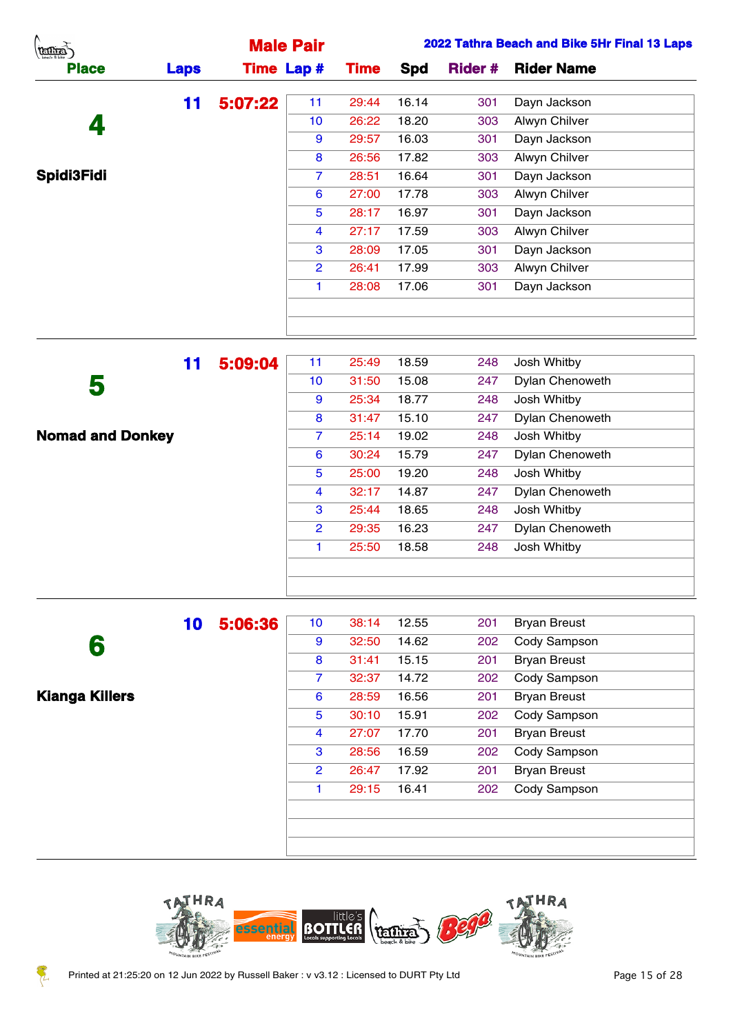| (terms)           |             |         | <b>Male Pair</b>  |             |       |     | 2022 Tathra Beach and Bike 5Hr Final 13 Laps |
|-------------------|-------------|---------|-------------------|-------------|-------|-----|----------------------------------------------|
| <b>Place</b>      | <b>Laps</b> |         | <b>Time Lap #</b> | <b>Time</b> | Spd   |     | <b>Rider # Rider Name</b>                    |
|                   | 11          | 5:07:22 | 11                | 29:44       | 16.14 | 301 | Dayn Jackson                                 |
| 4                 |             |         | 10                | 26:22       | 18.20 | 303 | Alwyn Chilver                                |
|                   |             |         | 9                 | 29:57       | 16.03 | 301 | Dayn Jackson                                 |
|                   |             |         | 8                 | 26:56       | 17.82 | 303 | Alwyn Chilver                                |
| <b>Spidi3Fidi</b> |             |         | $\overline{7}$    | 28:51       | 16.64 | 301 | Dayn Jackson                                 |
|                   |             |         | 6                 | 27:00       | 17.78 | 303 | Alwyn Chilver                                |
|                   |             |         | 5                 | 28:17       | 16.97 | 301 | Dayn Jackson                                 |
|                   |             |         | $\overline{4}$    | 27:17       | 17.59 | 303 | Alwyn Chilver                                |
|                   |             |         | 3                 | 28:09       | 17.05 | 301 | Dayn Jackson                                 |
|                   |             |         | $\overline{2}$    | 26:41       | 17.99 | 303 | Alwyn Chilver                                |
|                   |             |         |                   | 28:08       | 17.06 | 301 | Dayn Jackson                                 |
|                   |             |         |                   |             |       |     |                                              |
|                   |             |         |                   |             |       |     |                                              |

|                         | 11 | 5:09:04 | 11              | 25:49 | 18.59 | 248 | Josh Whitby            |
|-------------------------|----|---------|-----------------|-------|-------|-----|------------------------|
| 5                       |    |         | 10 <sup>°</sup> | 31:50 | 15.08 | 247 | Dylan Chenoweth        |
|                         |    |         | 9               | 25:34 | 18.77 | 248 | Josh Whitby            |
|                         |    |         | 8               | 31:47 | 15.10 | 247 | Dylan Chenoweth        |
| <b>Nomad and Donkey</b> |    |         | $\overline{7}$  | 25:14 | 19.02 | 248 | Josh Whitby            |
|                         |    |         | 6               | 30:24 | 15.79 | 247 | <b>Dylan Chenoweth</b> |
|                         |    |         | 5               | 25:00 | 19.20 | 248 | Josh Whitby            |
|                         |    |         | 4               | 32:17 | 14.87 | 247 | Dylan Chenoweth        |
|                         |    |         | 3               | 25:44 | 18.65 | 248 | Josh Whitby            |
|                         |    |         | $\overline{2}$  | 29:35 | 16.23 | 247 | <b>Dylan Chenoweth</b> |
|                         |    |         | 1.              | 25:50 | 18.58 | 248 | Josh Whitby            |
|                         |    |         |                 |       |       |     |                        |
|                         |    |         |                 |       |       |     |                        |

|                       | 10 | 5:06:36 | 10 <sub>1</sub> | 38:14 | 12.55 | 201 | <b>Bryan Breust</b> |
|-----------------------|----|---------|-----------------|-------|-------|-----|---------------------|
| 6                     |    |         | 9               | 32:50 | 14.62 | 202 | Cody Sampson        |
|                       |    |         | 8               | 31:41 | 15.15 | 201 | <b>Bryan Breust</b> |
|                       |    |         | $\overline{7}$  | 32:37 | 14.72 | 202 | Cody Sampson        |
| <b>Kianga Killers</b> |    |         | 6               | 28:59 | 16.56 | 201 | <b>Bryan Breust</b> |
|                       |    |         | 5               | 30:10 | 15.91 | 202 | Cody Sampson        |
|                       |    |         | 4               | 27:07 | 17.70 | 201 | <b>Bryan Breust</b> |
|                       |    |         | 3               | 28:56 | 16.59 | 202 | Cody Sampson        |
|                       |    |         | $\overline{2}$  | 26:47 | 17.92 | 201 | <b>Bryan Breust</b> |
|                       |    |         | 1.              | 29:15 | 16.41 | 202 | Cody Sampson        |
|                       |    |         |                 |       |       |     |                     |
|                       |    |         |                 |       |       |     |                     |
|                       |    |         |                 |       |       |     |                     |

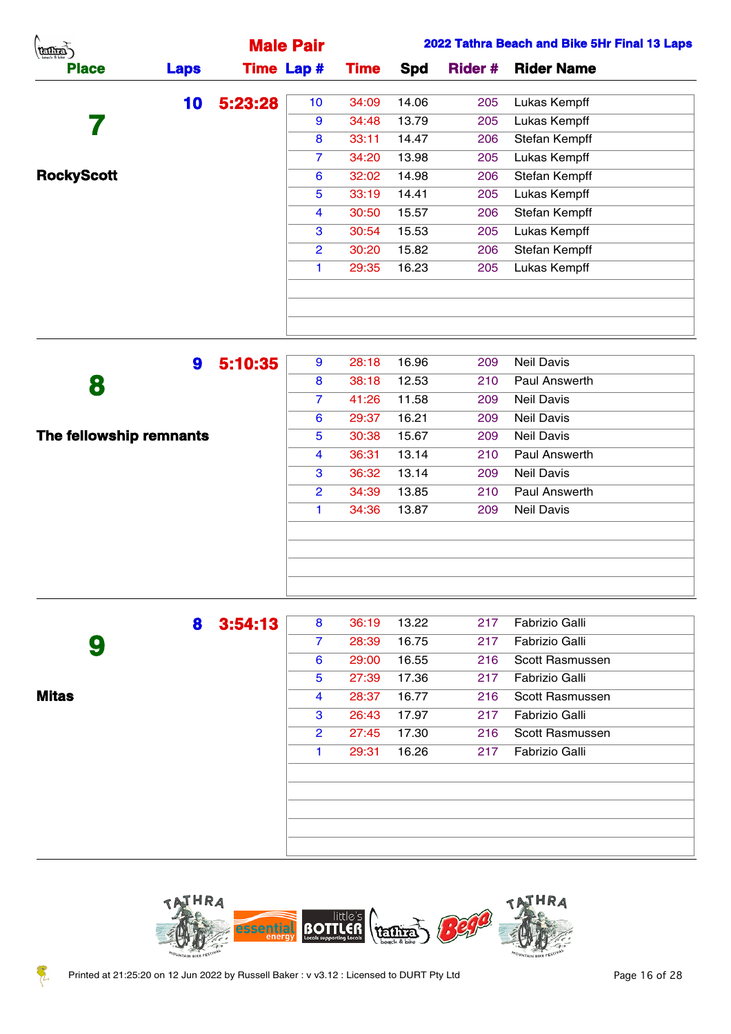| <b>REGITES</b>    |             |         | <b>Male Pair</b>  |             |       |                | 2022 Tathra Beach and Bike 5Hr Final 13 Laps |
|-------------------|-------------|---------|-------------------|-------------|-------|----------------|----------------------------------------------|
| <b>Place</b>      | <b>Laps</b> |         | <b>Time Lap #</b> | <b>Time</b> | Spd   | <b>Rider #</b> | <b>Rider Name</b>                            |
|                   | 10          | 5:23:28 | 10 <sup>°</sup>   | 34:09       | 14.06 | 205            | Lukas Kempff                                 |
|                   |             |         | 9                 | 34:48       | 13.79 | 205            | Lukas Kempff                                 |
|                   |             |         | 8                 | 33:11       | 14.47 | 206            | Stefan Kempff                                |
|                   |             |         | 7                 | 34:20       | 13.98 | 205            | Lukas Kempff                                 |
| <b>RockyScott</b> |             |         | 6                 | 32:02       | 14.98 | 206            | Stefan Kempff                                |
|                   |             |         | 5                 | 33:19       | 14.41 | 205            | Lukas Kempff                                 |
|                   |             |         | $\overline{4}$    | 30:50       | 15.57 | 206            | Stefan Kempff                                |
|                   |             |         | 3                 | 30:54       | 15.53 | 205            | Lukas Kempff                                 |
|                   |             |         | $\mathbf{2}$      | 30:20       | 15.82 | 206            | Stefan Kempff                                |
|                   |             |         |                   | 29:35       | 16.23 | 205            | Lukas Kempff                                 |
|                   |             |         |                   |             |       |                |                                              |
|                   |             |         |                   |             |       |                |                                              |
|                   |             |         |                   |             |       |                |                                              |

|                         | 9 | 5:10:35 | 9              | 28:18 | 16.96 | 209 | <b>Neil Davis</b>    |  |
|-------------------------|---|---------|----------------|-------|-------|-----|----------------------|--|
| 8                       |   |         | 8              | 38:18 | 12.53 | 210 | <b>Paul Answerth</b> |  |
|                         |   |         | 7              | 41:26 | 11.58 | 209 | <b>Neil Davis</b>    |  |
|                         |   |         | 6              | 29:37 | 16.21 | 209 | <b>Neil Davis</b>    |  |
| The fellowship remnants |   |         | 5              | 30:38 | 15.67 | 209 | <b>Neil Davis</b>    |  |
|                         |   |         | 4              | 36:31 | 13.14 | 210 | Paul Answerth        |  |
|                         |   |         | 3              | 36:32 | 13.14 | 209 | <b>Neil Davis</b>    |  |
|                         |   |         | $\overline{2}$ | 34:39 | 13.85 | 210 | <b>Paul Answerth</b> |  |
|                         |   |         | 1              | 34:36 | 13.87 | 209 | <b>Neil Davis</b>    |  |
|                         |   |         |                |       |       |     |                      |  |
|                         |   |         |                |       |       |     |                      |  |
|                         |   |         |                |       |       |     |                      |  |
|                         |   |         |                |       |       |     |                      |  |

|              | 8 | 3:54:13 | 8              | 36:19 | 13.22 | 217 | Fabrizio Galli  |
|--------------|---|---------|----------------|-------|-------|-----|-----------------|
|              | 9 |         | $\overline{7}$ | 28:39 | 16.75 | 217 | Fabrizio Galli  |
|              |   |         | 6              | 29:00 | 16.55 | 216 | Scott Rasmussen |
|              |   |         | 5              | 27:39 | 17.36 | 217 | Fabrizio Galli  |
| <b>Mitas</b> |   |         | 4              | 28:37 | 16.77 | 216 | Scott Rasmussen |
|              |   |         | 3              | 26:43 | 17.97 | 217 | Fabrizio Galli  |
|              |   |         | $\overline{2}$ | 27:45 | 17.30 | 216 | Scott Rasmussen |
|              |   |         | 1              | 29:31 | 16.26 | 217 | Fabrizio Galli  |
|              |   |         |                |       |       |     |                 |
|              |   |         |                |       |       |     |                 |
|              |   |         |                |       |       |     |                 |
|              |   |         |                |       |       |     |                 |
|              |   |         |                |       |       |     |                 |

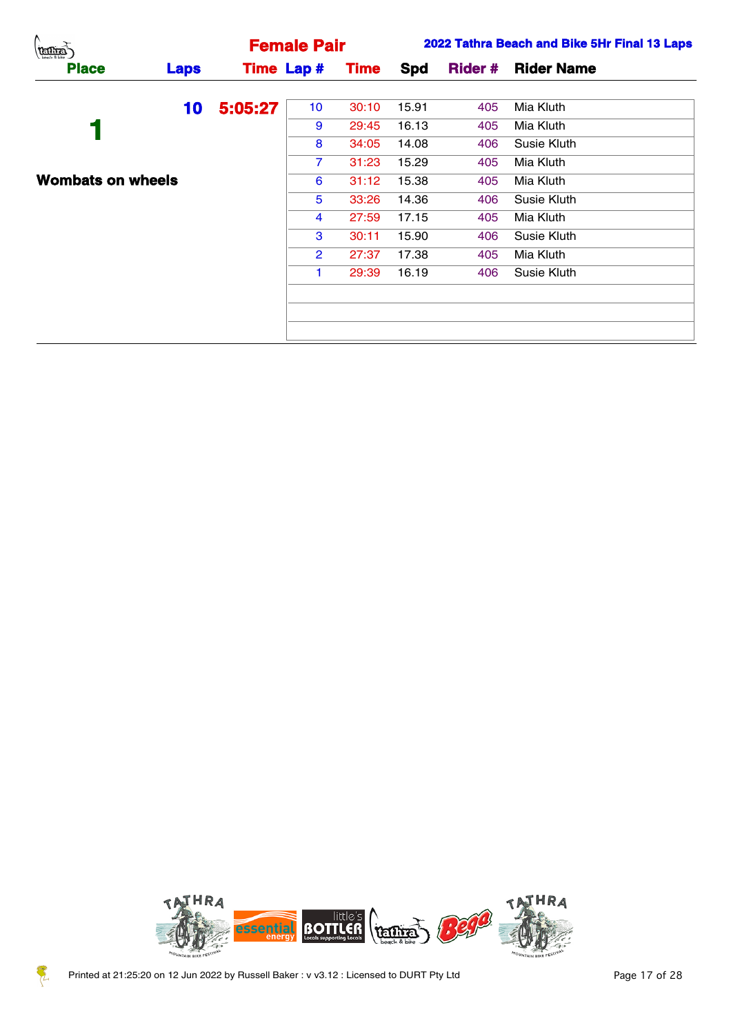| (terms)                  |             |         | <b>Female Pair</b> |             |       |     | 2022 Tathra Beach and Bike 5Hr Final 13 Laps |
|--------------------------|-------------|---------|--------------------|-------------|-------|-----|----------------------------------------------|
| <b>Place</b>             | <b>Laps</b> |         | <b>Time Lap #</b>  | <b>Time</b> | Spd   |     | <b>Rider # Rider Name</b>                    |
|                          | 10          | 5:05:27 | 10                 | 30:10       | 15.91 | 405 | Mia Kluth                                    |
|                          |             |         | 9                  | 29:45       | 16.13 | 405 | Mia Kluth                                    |
|                          |             |         | 8                  | 34:05       | 14.08 | 406 | Susie Kluth                                  |
|                          |             |         | $\overline{7}$     | 31:23       | 15.29 | 405 | Mia Kluth                                    |
| <b>Wombats on wheels</b> |             |         | 6                  | 31:12       | 15.38 | 405 | Mia Kluth                                    |
|                          |             |         | 5                  | 33:26       | 14.36 | 406 | Susie Kluth                                  |
|                          |             |         | 4                  | 27:59       | 17.15 | 405 | Mia Kluth                                    |
|                          |             |         | 3                  | 30:11       | 15.90 | 406 | Susie Kluth                                  |
|                          |             |         | $\mathbf{2}$       | 27:37       | 17.38 | 405 | Mia Kluth                                    |
|                          |             |         |                    | 29:39       | 16.19 | 406 | Susie Kluth                                  |
|                          |             |         |                    |             |       |     |                                              |
|                          |             |         |                    |             |       |     |                                              |
|                          |             |         |                    |             |       |     |                                              |



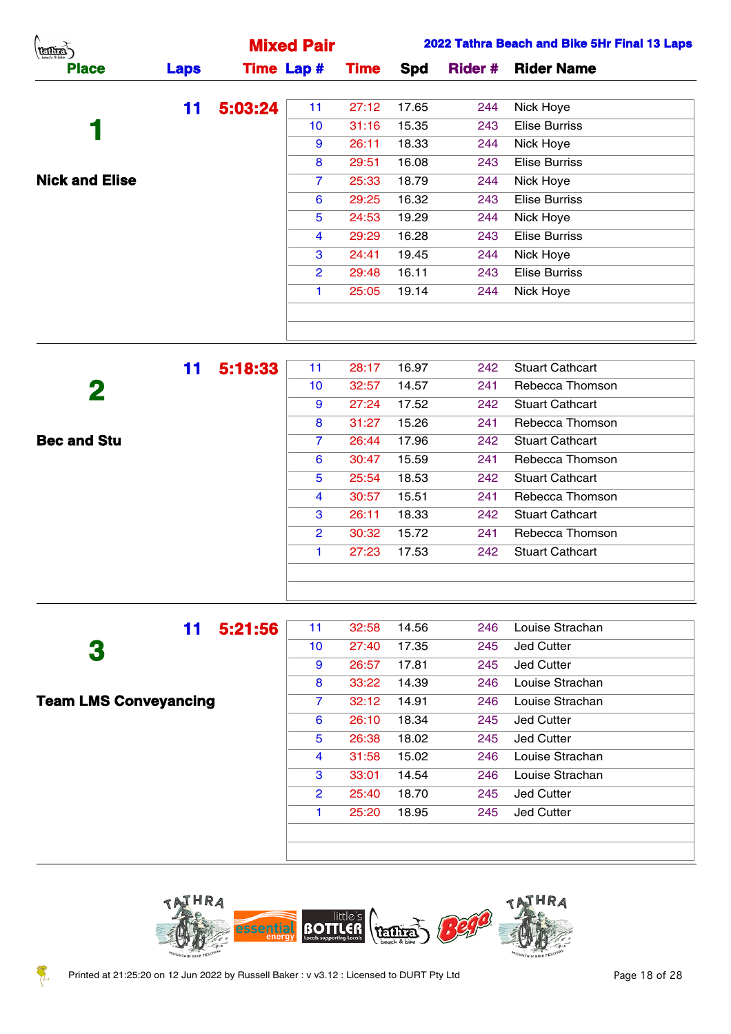|             | <b>Mixed Pair</b> |             |       |     | 2022 Tathra Beach and Bike 5Hr Final 13 Laps |
|-------------|-------------------|-------------|-------|-----|----------------------------------------------|
| <b>Laps</b> | <b>Time Lap #</b> | <b>Time</b> | Spd   |     | <b>Rider # Rider Name</b>                    |
| 11          | 11                | 27:12       | 17.65 | 244 | Nick Hoye                                    |
|             | 10                | 31:16       | 15.35 | 243 | <b>Elise Burriss</b>                         |
|             | 9                 | 26:11       | 18.33 | 244 | Nick Hoye                                    |
|             | 8                 | 29:51       | 16.08 | 243 | <b>Elise Burriss</b>                         |
|             | 7                 | 25:33       | 18.79 | 244 | Nick Hoye                                    |
|             | 6                 | 29:25       | 16.32 | 243 | <b>Elise Burriss</b>                         |
|             | 5                 | 24:53       | 19.29 | 244 | Nick Hoye                                    |
|             | 4                 | 29:29       | 16.28 | 243 | <b>Elise Burriss</b>                         |
|             | 3                 | 24:41       | 19.45 | 244 | Nick Hoye                                    |
|             | $\overline{2}$    | 29:48       | 16.11 | 243 | <b>Elise Burriss</b>                         |
|             |                   | 25:05       | 19.14 | 244 | Nick Hoye                                    |
|             |                   |             |       |     |                                              |
|             |                   |             |       |     |                                              |
|             |                   | 5:03:24     |       |     |                                              |

|                    | 11 | 5:18:33 | 11             | 28:17 | 16.97 | 242 | <b>Stuart Cathcart</b> |
|--------------------|----|---------|----------------|-------|-------|-----|------------------------|
| 2                  |    |         | 10             | 32:57 | 14.57 | 241 | Rebecca Thomson        |
|                    |    |         | 9              | 27:24 | 17.52 | 242 | <b>Stuart Cathcart</b> |
|                    |    |         | 8              | 31:27 | 15.26 | 241 | Rebecca Thomson        |
| <b>Bec and Stu</b> |    |         | 7.             | 26:44 | 17.96 | 242 | <b>Stuart Cathcart</b> |
|                    |    |         | 6              | 30:47 | 15.59 | 241 | Rebecca Thomson        |
|                    |    |         | 5              | 25:54 | 18.53 | 242 | <b>Stuart Cathcart</b> |
|                    |    |         | $\overline{4}$ | 30:57 | 15.51 | 241 | Rebecca Thomson        |
|                    |    |         | 3              | 26:11 | 18.33 | 242 | <b>Stuart Cathcart</b> |
|                    |    |         | $\overline{2}$ | 30:32 | 15.72 | 241 | Rebecca Thomson        |
|                    |    |         | 1.             | 27:23 | 17.53 | 242 | <b>Stuart Cathcart</b> |
|                    |    |         |                |       |       |     |                        |
|                    |    |         |                |       |       |     |                        |
|                    |    |         |                |       |       |     |                        |

 **Team LMS Conveyancing**

| 11    | 5:21:56 | 11              | 32:58 | 14.56 | 246 | Louise Strachan   |
|-------|---------|-----------------|-------|-------|-----|-------------------|
|       |         | 10 <sup>1</sup> | 27:40 | 17.35 | 245 | <b>Jed Cutter</b> |
|       |         | 9               | 26:57 | 17.81 | 245 | Jed Cutter        |
|       |         | 8               | 33:22 | 14.39 | 246 | Louise Strachan   |
| าcing |         | $\overline{7}$  | 32:12 | 14.91 | 246 | Louise Strachan   |
|       |         | 6               | 26:10 | 18.34 | 245 | <b>Jed Cutter</b> |
|       |         | 5               | 26:38 | 18.02 | 245 | Jed Cutter        |
|       |         | 4               | 31:58 | 15.02 | 246 | Louise Strachan   |
|       |         | 3               | 33:01 | 14.54 | 246 | Louise Strachan   |
|       |         | $\overline{2}$  | 25:40 | 18.70 | 245 | <b>Jed Cutter</b> |
|       |         | 1.              | 25:20 | 18.95 | 245 | <b>Jed Cutter</b> |
|       |         |                 |       |       |     |                   |
|       |         |                 |       |       |     |                   |
|       |         |                 |       |       |     |                   |



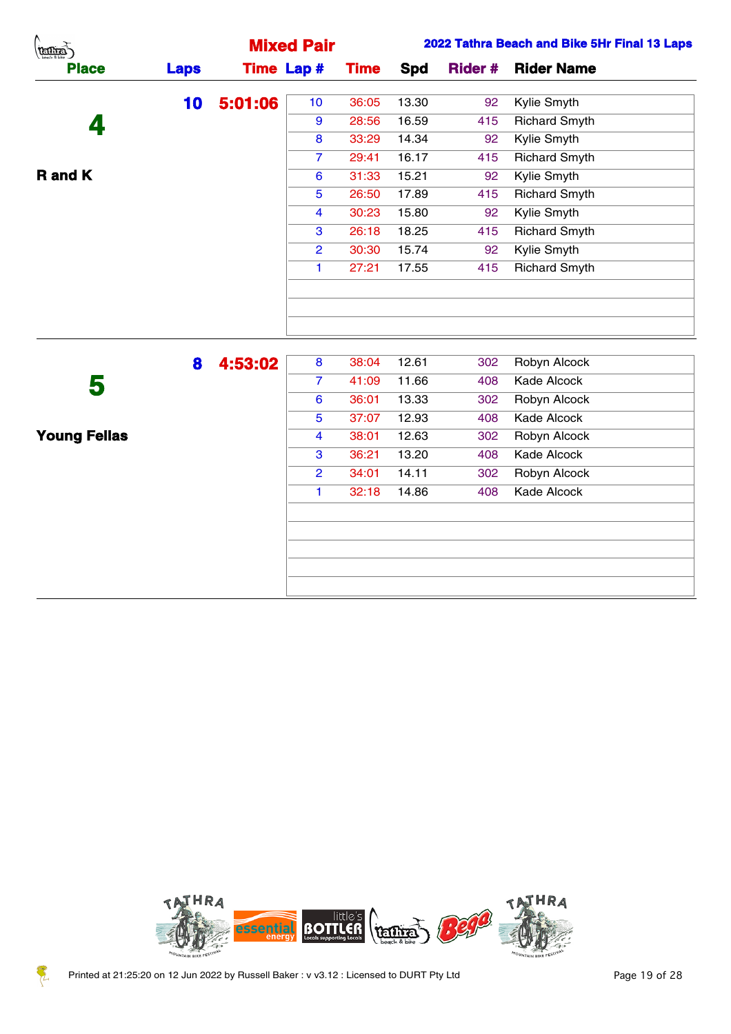| Λ.<br>(temps)  |             |         | <b>Mixed Pair</b> |             |            |                | 2022 Tathra Beach and Bike 5Hr Final 13 Laps |
|----------------|-------------|---------|-------------------|-------------|------------|----------------|----------------------------------------------|
| <b>Place</b>   | <b>Laps</b> |         | <b>Time Lap #</b> | <b>Time</b> | <b>Spd</b> | <b>Rider #</b> | <b>Rider Name</b>                            |
|                | 10          | 5:01:06 | 10 <sub>1</sub>   | 36:05       | 13.30      | 92             | Kylie Smyth                                  |
| 4              |             |         | 9                 | 28:56       | 16.59      | 415            | <b>Richard Smyth</b>                         |
|                |             |         | 8                 | 33:29       | 14.34      | 92             | Kylie Smyth                                  |
|                |             |         | $\overline{7}$    | 29:41       | 16.17      | 415            | <b>Richard Smyth</b>                         |
| <b>R</b> and K |             |         | $6\phantom{1}6$   | 31:33       | 15.21      | 92             | Kylie Smyth                                  |
|                |             |         | $5\phantom{.0}$   | 26:50       | 17.89      | 415            | <b>Richard Smyth</b>                         |
|                |             |         | $\overline{4}$    | 30:23       | 15.80      | 92             | Kylie Smyth                                  |
|                |             |         | 3                 | 26:18       | 18.25      | 415            | <b>Richard Smyth</b>                         |
|                |             |         | $\overline{2}$    | 30:30       | 15.74      | 92             | Kylie Smyth                                  |
|                |             |         | -1                | 27:21       | 17.55      | 415            | <b>Richard Smyth</b>                         |
|                |             |         |                   |             |            |                |                                              |
|                |             |         |                   |             |            |                |                                              |
|                |             |         |                   |             |            |                |                                              |
|                | 8           | 4:53:02 | 8                 | 38:04       | 12.61      | 302            | Robyn Alcock                                 |
| R              |             |         | $\overline{7}$    | 41:09       | 11.66      | 408            | Kade Alcock                                  |

|                     | 8 | 4:53:02 | 8              | 38:04 | 12.61 | 302 | Robyn Alcock |
|---------------------|---|---------|----------------|-------|-------|-----|--------------|
| 5                   |   |         | 7              | 41:09 | 11.66 | 408 | Kade Alcock  |
|                     |   |         | 6              | 36:01 | 13.33 | 302 | Robyn Alcock |
|                     |   |         | 5              | 37:07 | 12.93 | 408 | Kade Alcock  |
| <b>Young Fellas</b> |   |         | 4              | 38:01 | 12.63 | 302 | Robyn Alcock |
|                     |   |         | 3              | 36:21 | 13.20 | 408 | Kade Alcock  |
|                     |   |         | $\overline{2}$ | 34:01 | 14.11 | 302 | Robyn Alcock |
|                     |   |         | 1              | 32:18 | 14.86 | 408 | Kade Alcock  |
|                     |   |         |                |       |       |     |              |
|                     |   |         |                |       |       |     |              |
|                     |   |         |                |       |       |     |              |
|                     |   |         |                |       |       |     |              |
|                     |   |         |                |       |       |     |              |
|                     |   |         |                |       |       |     |              |



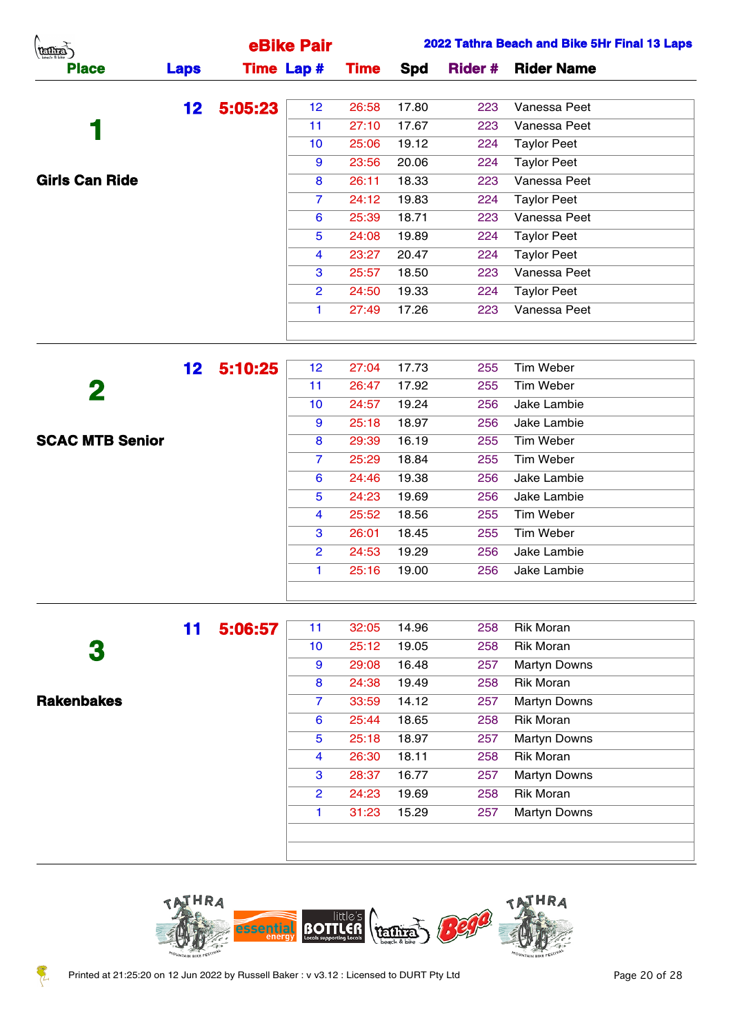| (temps)               |                 |         | eBike Pair        |             |               |                | 2022 Tathra Beach and Bike 5Hr Final 13 Laps |
|-----------------------|-----------------|---------|-------------------|-------------|---------------|----------------|----------------------------------------------|
| <b>Place</b>          | <b>Laps</b>     |         | <b>Time Lap #</b> | <b>Time</b> | Spd           | <b>Rider #</b> | <b>Rider Name</b>                            |
|                       | 12 <sub>2</sub> | 5:05:23 | 12                | 26:58       | 17.80         | 223            | Vanessa Peet                                 |
|                       |                 |         | 11                | 27:10       | 17.67         | 223            | Vanessa Peet                                 |
|                       |                 |         | 10                | 25:06       | 19.12         | 224            | <b>Taylor Peet</b>                           |
|                       |                 |         | 9                 | 23:56       | 20.06         | 224            | <b>Taylor Peet</b>                           |
| <b>Girls Can Ride</b> |                 |         | 8                 | 26:11       | 18.33         | 223            | Vanessa Peet                                 |
|                       |                 |         | $\overline{7}$    | 24:12       | 19.83         | 224            | <b>Taylor Peet</b>                           |
|                       |                 |         | 6                 | 25:39       | 18.71         | 223            | Vanessa Peet                                 |
|                       |                 |         | 5                 | 24:08       | 19.89         | 224            | <b>Taylor Peet</b>                           |
|                       |                 |         | 4                 | 23:27       | 20.47         | 224            | <b>Taylor Peet</b>                           |
|                       |                 |         | 3                 | 25:57       | 18.50         | 223            | Vanessa Peet                                 |
|                       |                 |         | $\overline{2}$    | 24:50       | 19.33         | 224            | <b>Taylor Peet</b>                           |
|                       |                 |         |                   | 27:49       | 17.26         | 223            | Vanessa Peet                                 |
|                       |                 |         |                   |             |               |                |                                              |
|                       | 19.             | E-10-95 | 12                |             | $27.04$ 17.73 | つらら            | Tim Wahar                                    |

|                        | 12 <sub>2</sub> | 5:10:25 | 12 <sub>2</sub> | 27:04 | 17.73 | 255 | <b>Tim Weber</b> |
|------------------------|-----------------|---------|-----------------|-------|-------|-----|------------------|
| 2                      |                 |         | 11              | 26:47 | 17.92 | 255 | Tim Weber        |
|                        |                 |         | 10 <sup>°</sup> | 24:57 | 19.24 | 256 | Jake Lambie      |
|                        |                 |         | 9               | 25:18 | 18.97 | 256 | Jake Lambie      |
| <b>SCAC MTB Senior</b> |                 |         | 8               | 29:39 | 16.19 | 255 | Tim Weber        |
|                        |                 |         | $\overline{7}$  | 25:29 | 18.84 | 255 | Tim Weber        |
|                        |                 |         | 6               | 24:46 | 19.38 | 256 | Jake Lambie      |
|                        |                 |         | 5               | 24:23 | 19.69 | 256 | Jake Lambie      |
|                        |                 |         | 4               | 25:52 | 18.56 | 255 | Tim Weber        |
|                        |                 |         | 3               | 26:01 | 18.45 | 255 | Tim Weber        |
|                        |                 |         | $\overline{2}$  | 24:53 | 19.29 | 256 | Jake Lambie      |
|                        |                 |         | 1.              | 25:16 | 19.00 | 256 | Jake Lambie      |
|                        |                 |         |                 |       |       |     |                  |

|                   | 11 | 5:06:57 | 11             | 32:05 | 14.96 | 258 | <b>Rik Moran</b>    |
|-------------------|----|---------|----------------|-------|-------|-----|---------------------|
| 3                 |    |         | 10             | 25:12 | 19.05 | 258 | <b>Rik Moran</b>    |
|                   |    |         | 9              | 29:08 | 16.48 | 257 | <b>Martyn Downs</b> |
|                   |    |         | 8              | 24:38 | 19.49 | 258 | <b>Rik Moran</b>    |
| <b>Rakenbakes</b> |    |         | 7              | 33:59 | 14.12 | 257 | <b>Martyn Downs</b> |
|                   |    |         | 6              | 25:44 | 18.65 | 258 | <b>Rik Moran</b>    |
|                   |    |         | 5              | 25:18 | 18.97 | 257 | <b>Martyn Downs</b> |
|                   |    |         | 4              | 26:30 | 18.11 | 258 | <b>Rik Moran</b>    |
|                   |    |         | 3              | 28:37 | 16.77 | 257 | <b>Martyn Downs</b> |
|                   |    |         | $\overline{2}$ | 24:23 | 19.69 | 258 | <b>Rik Moran</b>    |
|                   |    |         | 1              | 31:23 | 15.29 | 257 | <b>Martyn Downs</b> |
|                   |    |         |                |       |       |     |                     |
|                   |    |         |                |       |       |     |                     |

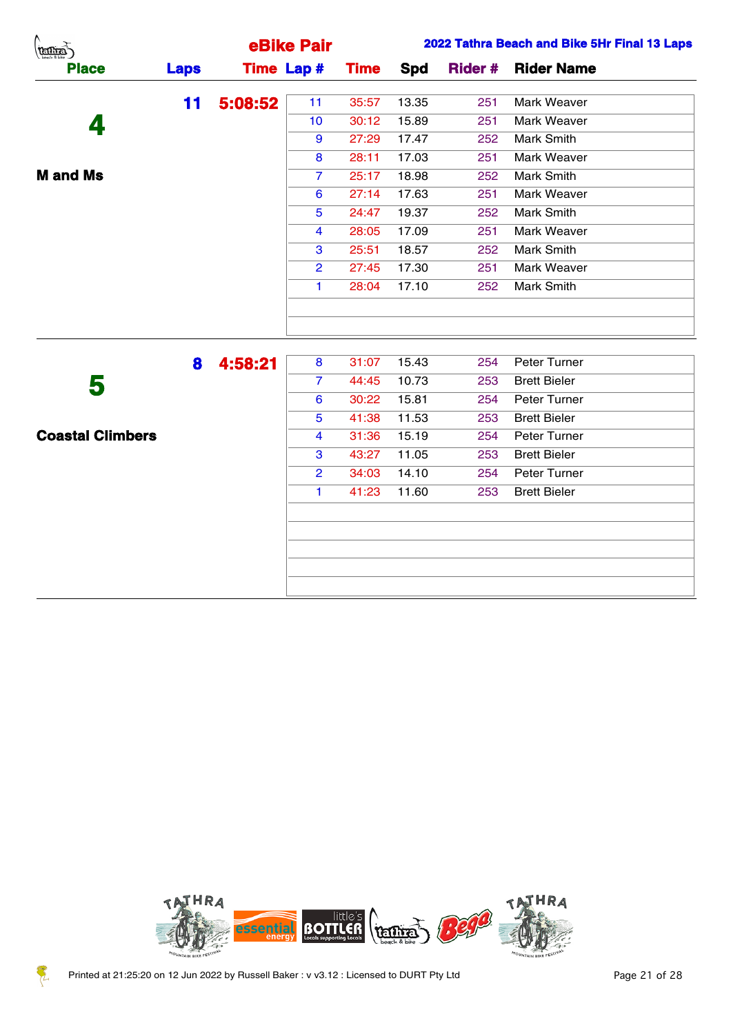| Λ.<br>(TELLIE)          |             |         | eBike Pair        |             |       |                | 2022 Tathra Beach and Bike 5Hr Final 13 Laps |
|-------------------------|-------------|---------|-------------------|-------------|-------|----------------|----------------------------------------------|
| <b>Place</b>            | <b>Laps</b> |         | <b>Time Lap #</b> | <b>Time</b> | Spd   | <b>Rider #</b> | <b>Rider Name</b>                            |
|                         | 11          | 5:08:52 | 11                | 35:57       | 13.35 | 251            | Mark Weaver                                  |
| 4                       |             |         | 10                | 30:12       | 15.89 | 251            | Mark Weaver                                  |
|                         |             |         | 9                 | 27:29       | 17.47 | 252            | <b>Mark Smith</b>                            |
|                         |             |         | 8                 | 28:11       | 17.03 | 251            | Mark Weaver                                  |
| <b>M</b> and Ms         |             |         | $\overline{7}$    | 25:17       | 18.98 | 252            | <b>Mark Smith</b>                            |
|                         |             |         | $6\phantom{1}6$   | 27:14       | 17.63 | 251            | Mark Weaver                                  |
|                         |             |         | $\overline{5}$    | 24:47       | 19.37 | 252            | Mark Smith                                   |
|                         |             |         | $\overline{4}$    | 28:05       | 17.09 | 251            | Mark Weaver                                  |
|                         |             |         | $\mathbf{3}$      | 25:51       | 18.57 | 252            | Mark Smith                                   |
|                         |             |         | $\overline{2}$    | 27:45       | 17.30 | 251            | Mark Weaver                                  |
|                         |             |         | $\mathbf{1}$      | 28:04       | 17.10 | 252            | <b>Mark Smith</b>                            |
|                         |             |         |                   |             |       |                |                                              |
|                         |             |         |                   |             |       |                |                                              |
|                         | 8           | 4:58:21 | 8                 | 31:07       | 15.43 | 254            | Peter Turner                                 |
| 5                       |             |         | $\overline{7}$    | 44:45       | 10.73 | 253            | <b>Brett Bieler</b>                          |
|                         |             |         | 6                 | 30:22       | 15.81 | 254            | Peter Turner                                 |
|                         |             |         | $\overline{5}$    | 41:38       | 11.53 | 253            | <b>Brett Bieler</b>                          |
| <b>Coastal Climbers</b> |             |         | $\overline{4}$    | 31:36       | 15.19 | 254            | Peter Turner                                 |
|                         |             |         | $\mathbf{3}$      | 43:27       | 11.05 | 253            | <b>Brett Bieler</b>                          |
|                         |             |         | $\overline{2}$    | 34:03       | 14.10 | 254            | Peter Turner                                 |
|                         |             |         | $\mathbf{1}$      | 41:23       | 11.60 | 253            | <b>Brett Bieler</b>                          |
|                         |             |         |                   |             |       |                |                                              |



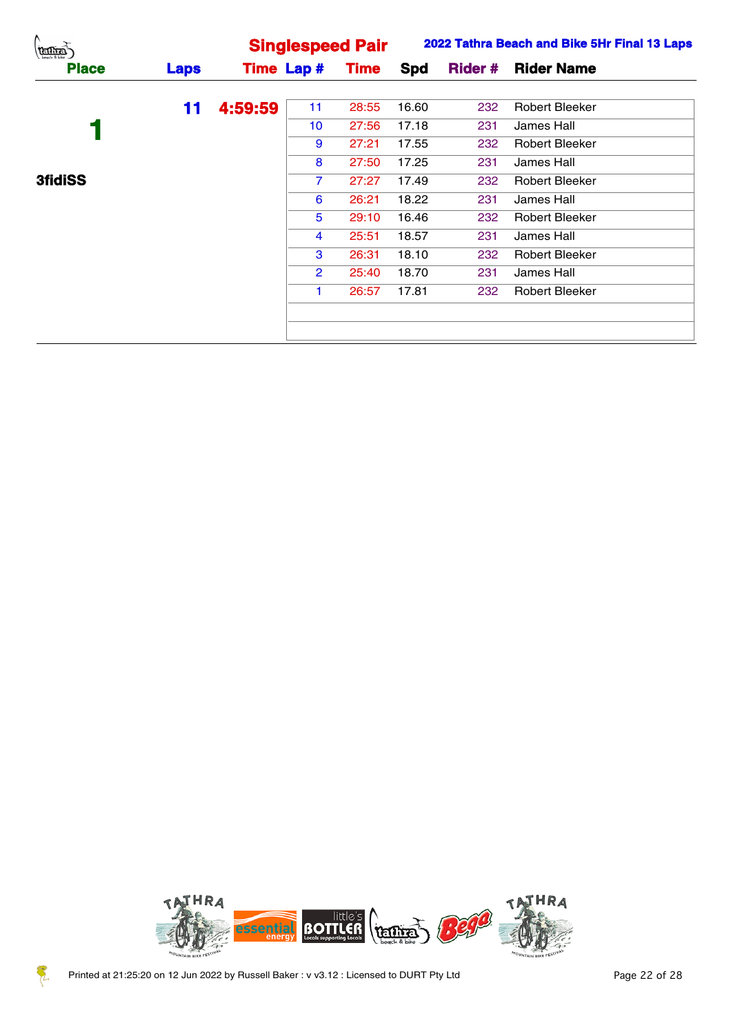| (temps)        |             |         |                   | <b>Singlespeed Pair</b> |       |     | 2022 Tathra Beach and Bike 5Hr Final 13 Laps |
|----------------|-------------|---------|-------------------|-------------------------|-------|-----|----------------------------------------------|
| <b>Place</b>   | <b>Laps</b> |         | <b>Time Lap #</b> | <b>Time</b>             | Spd   |     | <b>Rider # Rider Name</b>                    |
|                | 11          | 4:59:59 | 11                | 28:55                   | 16.60 | 232 | <b>Robert Bleeker</b>                        |
|                |             |         | 10                | 27:56                   | 17.18 | 231 | James Hall                                   |
|                |             |         | 9                 | 27:21                   | 17.55 | 232 | Robert Bleeker                               |
|                |             |         | 8                 | 27:50                   | 17.25 | 231 | James Hall                                   |
| <b>3fidiSS</b> |             |         |                   | 27:27                   | 17.49 | 232 | Robert Bleeker                               |
|                |             |         | 6                 | 26:21                   | 18.22 | 231 | James Hall                                   |
|                |             |         | 5                 | 29:10                   | 16.46 | 232 | Robert Bleeker                               |
|                |             |         | 4                 | 25:51                   | 18.57 | 231 | James Hall                                   |
|                |             |         | 3                 | 26:31                   | 18.10 | 232 | Robert Bleeker                               |
|                |             |         | $\mathbf{2}$      | 25:40                   | 18.70 | 231 | James Hall                                   |
|                |             |         |                   | 26:57                   | 17.81 | 232 | Robert Bleeker                               |
|                |             |         |                   |                         |       |     |                                              |
|                |             |         |                   |                         |       |     |                                              |



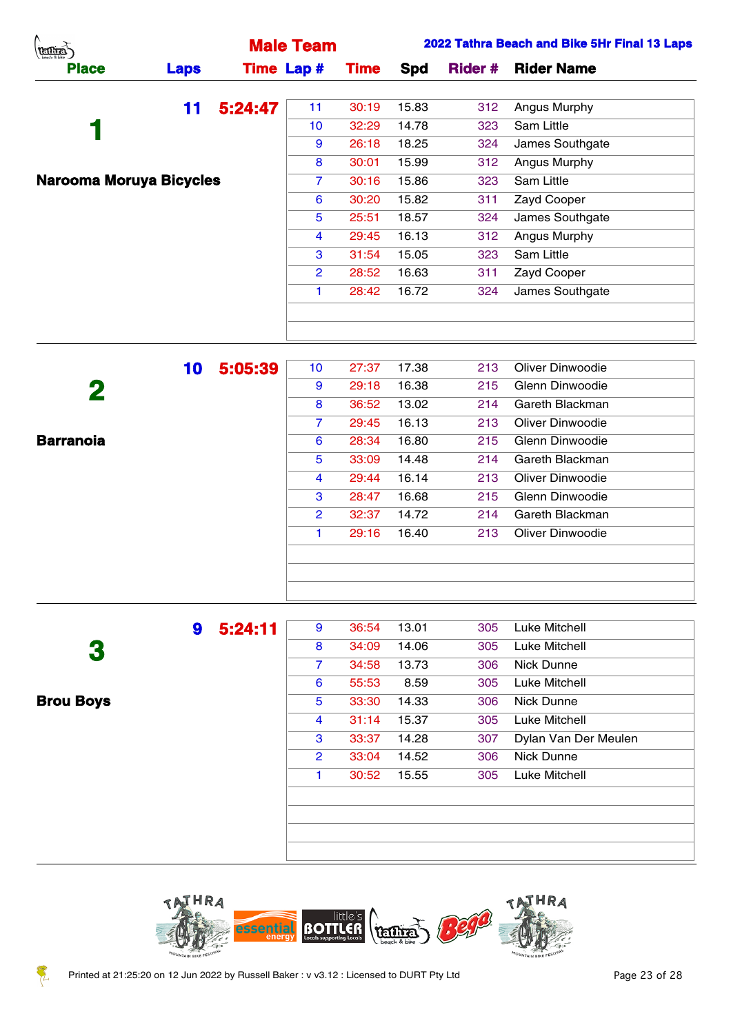| (temps)                        |             |         | <b>Male Team</b>  |             |       |                | 2022 Tathra Beach and Bike 5Hr Final 13 Laps |
|--------------------------------|-------------|---------|-------------------|-------------|-------|----------------|----------------------------------------------|
| <b>Place</b>                   | <b>Laps</b> |         | <b>Time Lap #</b> | <b>Time</b> | Spd   | <b>Rider #</b> | <b>Rider Name</b>                            |
|                                | 11          | 5:24:47 | 11                | 30:19       | 15.83 | 312            | Angus Murphy                                 |
|                                |             |         | 10 <sup>°</sup>   | 32:29       | 14.78 | 323            | Sam Little                                   |
|                                |             |         | 9                 | 26:18       | 18.25 | 324            | James Southgate                              |
|                                |             |         | 8                 | 30:01       | 15.99 | 312            | Angus Murphy                                 |
| <b>Narooma Moruya Bicycles</b> |             |         | $\overline{7}$    | 30:16       | 15.86 | 323            | Sam Little                                   |
|                                |             |         | 6                 | 30:20       | 15.82 | 311            | Zayd Cooper                                  |
|                                |             |         | 5                 | 25:51       | 18.57 | 324            | James Southgate                              |
|                                |             |         | $\overline{4}$    | 29:45       | 16.13 | 312            | Angus Murphy                                 |
|                                |             |         | 3                 | 31:54       | 15.05 | 323            | Sam Little                                   |
|                                |             |         | $\mathbf{2}$      | 28:52       | 16.63 | 311            | Zayd Cooper                                  |
|                                |             |         |                   | 28:42       | 16.72 | 324            | James Southgate                              |
|                                |             |         |                   |             |       |                |                                              |
|                                |             |         |                   |             |       |                |                                              |
|                                |             |         |                   |             |       |                |                                              |

|                  | 10 | 5:05:39 | 10             | 27:37 | 17.38 | 213 | Oliver Dinwoodie |
|------------------|----|---------|----------------|-------|-------|-----|------------------|
| 2                |    |         | 9              | 29:18 | 16.38 | 215 | Glenn Dinwoodie  |
|                  |    |         | 8              | 36:52 | 13.02 | 214 | Gareth Blackman  |
|                  |    |         | $\overline{7}$ | 29:45 | 16.13 | 213 | Oliver Dinwoodie |
| <b>Barranoia</b> |    |         | 6              | 28:34 | 16.80 | 215 | Glenn Dinwoodie  |
|                  |    |         | 5              | 33:09 | 14.48 | 214 | Gareth Blackman  |
|                  |    |         | 4              | 29:44 | 16.14 | 213 | Oliver Dinwoodie |
|                  |    |         | 3              | 28:47 | 16.68 | 215 | Glenn Dinwoodie  |
|                  |    |         | $\overline{2}$ | 32:37 | 14.72 | 214 | Gareth Blackman  |
|                  |    |         | 1              | 29:16 | 16.40 | 213 | Oliver Dinwoodie |
|                  |    |         |                |       |       |     |                  |
|                  |    |         |                |       |       |     |                  |
|                  |    |         |                |       |       |     |                  |

 **Brou Boys**

|  | 5:24:11 | 9              | 36:54 | 13.01 | 305           | Luke Mitchell        |
|--|---------|----------------|-------|-------|---------------|----------------------|
|  | 8       | 34:09          | 14.06 | 305   | Luke Mitchell |                      |
|  |         | $\overline{7}$ | 34:58 | 13.73 | 306           | <b>Nick Dunne</b>    |
|  |         | 6              | 55:53 | 8.59  | 305           | Luke Mitchell        |
|  |         | 5              | 33:30 | 14.33 | 306           | <b>Nick Dunne</b>    |
|  |         | 4              | 31:14 | 15.37 | 305           | Luke Mitchell        |
|  |         | 3              | 33:37 | 14.28 | 307           | Dylan Van Der Meulen |
|  |         | $\overline{2}$ | 33:04 | 14.52 | 306           | <b>Nick Dunne</b>    |
|  |         | 1              | 30:52 | 15.55 | 305           | Luke Mitchell        |



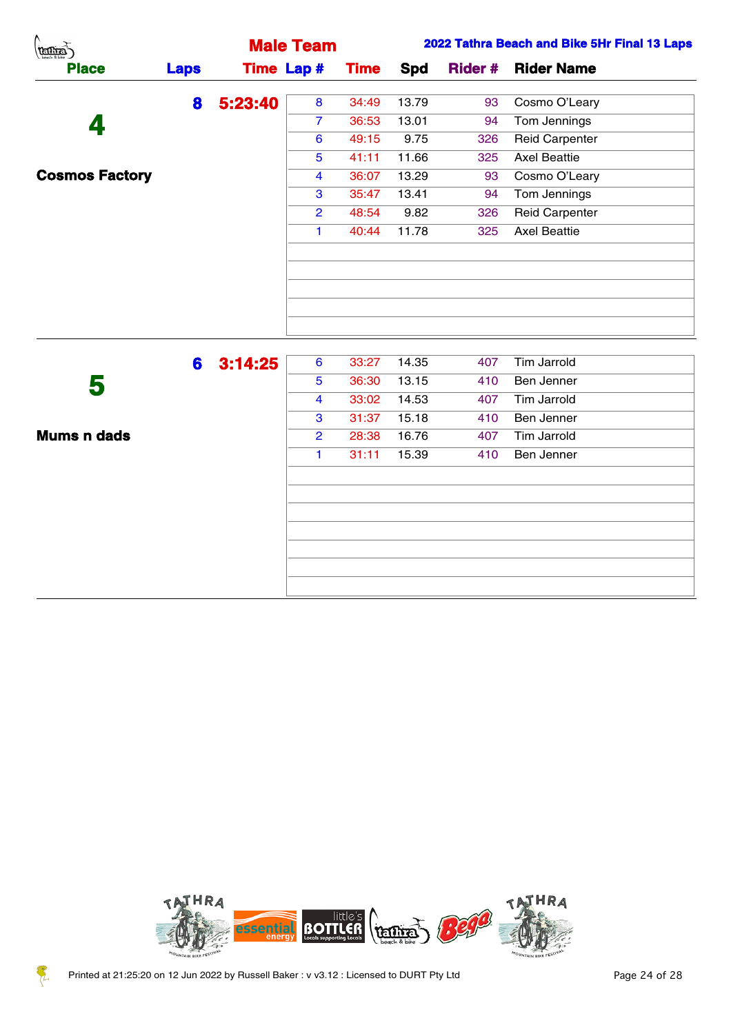|             |        |                      |                                         |                  |     | 2022 Tathra Beach and Bike 5Hr Final 13 Laps |
|-------------|--------|----------------------|-----------------------------------------|------------------|-----|----------------------------------------------|
| <b>Laps</b> |        |                      | <b>Time</b>                             | Spd              |     | <b>Rider Name</b>                            |
|             |        | 8                    | 34:49                                   | 13.79            | 93  | Cosmo O'Leary                                |
|             |        | $\overline{7}$       | 36:53                                   | 13.01            | 94  | Tom Jennings                                 |
|             |        | 6                    | 49:15                                   | 9.75             | 326 | <b>Reid Carpenter</b>                        |
|             |        | $\overline{5}$       | 41:11                                   | 11.66            | 325 | <b>Axel Beattie</b>                          |
|             |        | 4                    | 36:07                                   | 13.29            | 93  | Cosmo O'Leary                                |
|             |        | $\mathbf{3}$         | 35:47                                   | 13.41            | 94  | Tom Jennings                                 |
|             |        | $\overline{2}$       | 48:54                                   | 9.82             | 326 | <b>Reid Carpenter</b>                        |
|             |        | $\blacktriangleleft$ | 40:44                                   | 11.78            | 325 | <b>Axel Beattie</b>                          |
|             |        |                      |                                         |                  |     |                                              |
|             |        |                      |                                         |                  |     |                                              |
|             |        |                      |                                         |                  |     |                                              |
|             |        | 6                    | 33:27                                   | 14.35            | 407 | Tim Jarrold                                  |
|             |        | 5                    | 36:30                                   | 13.15            | 410 | Ben Jenner                                   |
|             |        | 4                    | 33:02                                   | 14.53            | 407 | Tim Jarrold                                  |
|             |        | 3                    | 31:37                                   | 15.18            | 410 | Ben Jenner                                   |
|             |        | $\overline{2}$       | 28:38                                   | 16.76            | 407 | Tim Jarrold                                  |
|             |        | $\blacktriangleleft$ | 31:11                                   | 15.39            | 410 | Ben Jenner                                   |
|             |        |                      |                                         |                  |     |                                              |
|             | 8<br>6 |                      | <b>Time Lap #</b><br>5:23:40<br>3:14:25 | <b>Male Team</b> |     | <b>Rider #</b>                               |



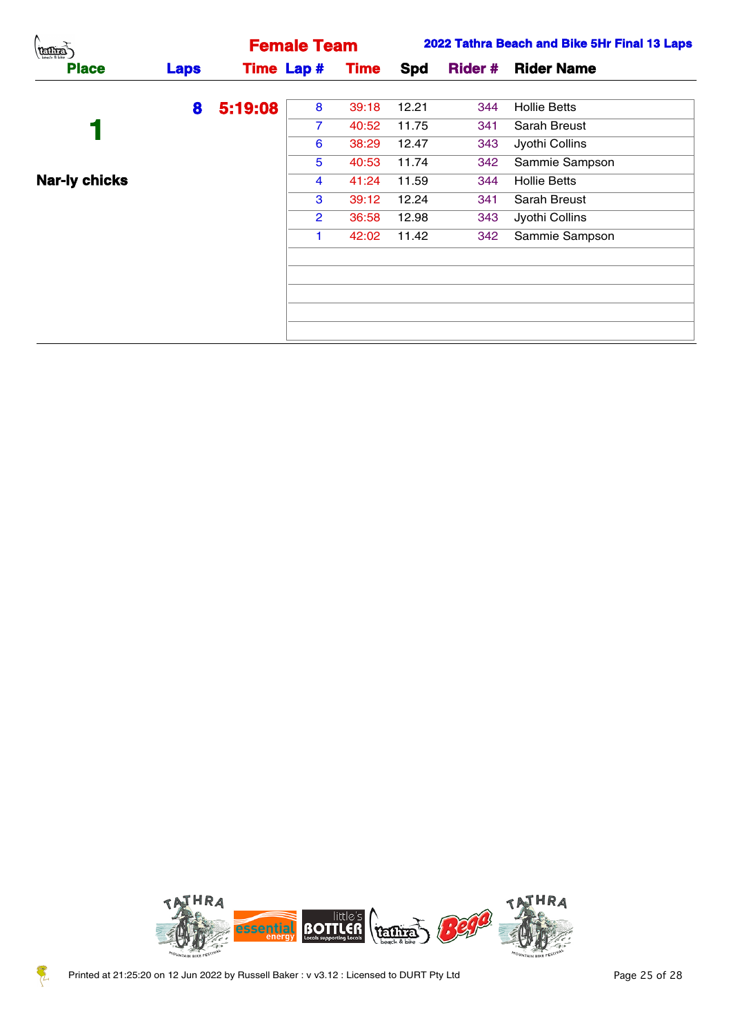| $\rightarrow$<br>(terms) |             |         | <b>Female Team</b> |             |       |     | 2022 Tathra Beach and Bike 5Hr Final 13 Laps |
|--------------------------|-------------|---------|--------------------|-------------|-------|-----|----------------------------------------------|
| <b>Place</b>             | <b>Laps</b> |         | <b>Time Lap #</b>  | <b>Time</b> | Spd   |     | <b>Rider # Rider Name</b>                    |
|                          | 8           | 5:19:08 | 8                  | 39:18       | 12.21 | 344 | <b>Hollie Betts</b>                          |
|                          |             |         |                    | 40:52       | 11.75 | 341 | Sarah Breust                                 |
|                          |             |         | 6                  | 38:29       | 12.47 | 343 | Jyothi Collins                               |
|                          |             |         | 5                  | 40:53       | 11.74 | 342 | Sammie Sampson                               |
| <b>Nar-ly chicks</b>     |             |         | 4                  | 41:24       | 11.59 | 344 | <b>Hollie Betts</b>                          |
|                          |             |         | 3                  | 39:12       | 12.24 | 341 | Sarah Breust                                 |
|                          |             |         | $\mathbf{2}$       | 36:58       | 12.98 | 343 | Jyothi Collins                               |
|                          |             |         |                    | 42:02       | 11.42 | 342 | Sammie Sampson                               |
|                          |             |         |                    |             |       |     |                                              |
|                          |             |         |                    |             |       |     |                                              |
|                          |             |         |                    |             |       |     |                                              |
|                          |             |         |                    |             |       |     |                                              |
|                          |             |         |                    |             |       |     |                                              |



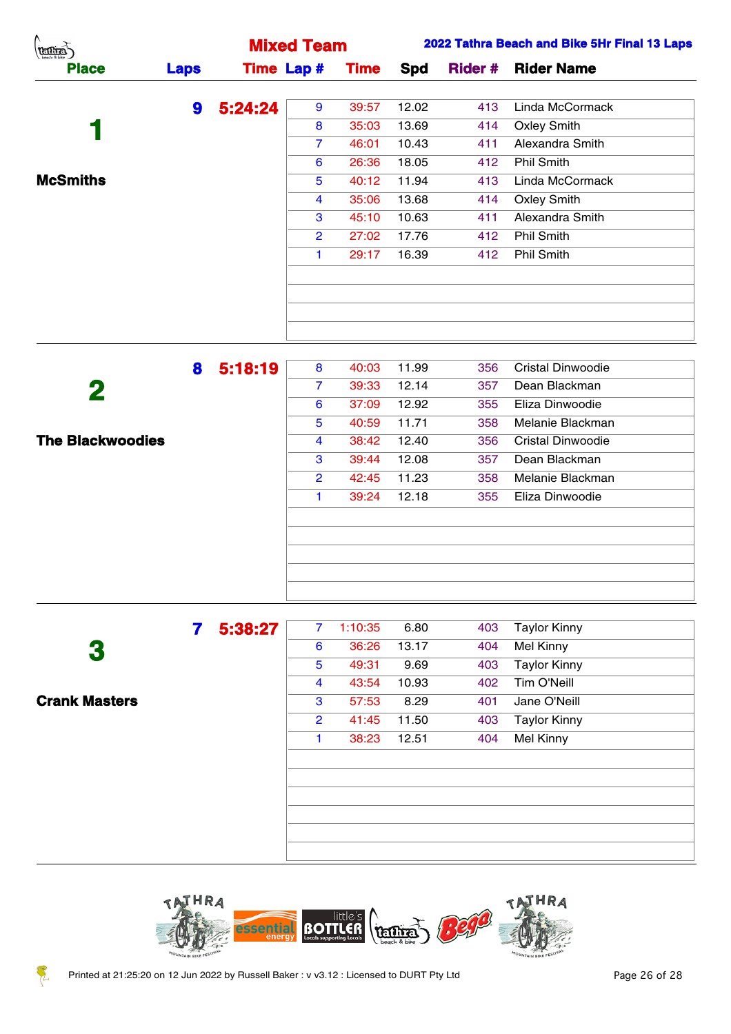| A.<br><b>TELLIER</b> |             |         | <b>Mixed Team</b> |             |       |     | 2022 Tathra Beach and Bike 5Hr Final 13 Laps |
|----------------------|-------------|---------|-------------------|-------------|-------|-----|----------------------------------------------|
| <b>Place</b>         | <b>Laps</b> |         | <b>Time Lap #</b> | <b>Time</b> | Spd   |     | <b>Rider # Rider Name</b>                    |
|                      | 9           | 5:24:24 | 9                 | 39:57       | 12.02 | 413 | Linda McCormack                              |
|                      |             |         | 8                 | 35:03       | 13.69 | 414 | <b>Oxley Smith</b>                           |
|                      |             |         | $\overline{7}$    | 46:01       | 10.43 | 411 | Alexandra Smith                              |
|                      |             |         | 6                 | 26:36       | 18.05 | 412 | Phil Smith                                   |
| <b>McSmiths</b>      |             |         | 5                 | 40:12       | 11.94 | 413 | Linda McCormack                              |
|                      |             |         | 4                 | 35:06       | 13.68 | 414 | <b>Oxley Smith</b>                           |
|                      |             |         | 3                 | 45:10       | 10.63 | 411 | Alexandra Smith                              |
|                      |             |         | $\mathbf{2}$      | 27:02       | 17.76 | 412 | Phil Smith                                   |
|                      |             |         |                   | 29:17       | 16.39 | 412 | Phil Smith                                   |
|                      |             |         |                   |             |       |     |                                              |
|                      |             |         |                   |             |       |     |                                              |
|                      |             |         |                   |             |       |     |                                              |
|                      |             |         |                   |             |       |     |                                              |

|                         | 8 | 5:18:19 | 8              | 40:03 | 11.99 | 356 | <b>Cristal Dinwoodie</b> |
|-------------------------|---|---------|----------------|-------|-------|-----|--------------------------|
| 2                       |   |         | $\overline{7}$ | 39:33 | 12.14 | 357 | Dean Blackman            |
|                         |   |         | 6              | 37:09 | 12.92 | 355 | Eliza Dinwoodie          |
|                         |   |         | 5              | 40:59 | 11.71 | 358 | Melanie Blackman         |
| <b>The Blackwoodies</b> |   |         | 4              | 38:42 | 12.40 | 356 | <b>Cristal Dinwoodie</b> |
|                         |   |         | 3              | 39:44 | 12.08 | 357 | Dean Blackman            |
|                         |   |         | $\overline{2}$ | 42:45 | 11.23 | 358 | Melanie Blackman         |
|                         |   |         | 1.             | 39:24 | 12.18 | 355 | Eliza Dinwoodie          |
|                         |   |         |                |       |       |     |                          |
|                         |   |         |                |       |       |     |                          |
|                         |   |         |                |       |       |     |                          |
|                         |   |         |                |       |       |     |                          |
|                         |   |         |                |       |       |     |                          |

 **Crank Masters**

| 5:38:27 | $\overline{7}$          | 1:10:35 | 6.80  | 403 | <b>Taylor Kinny</b> |
|---------|-------------------------|---------|-------|-----|---------------------|
|         | 6                       | 36:26   | 13.17 | 404 | <b>Mel Kinny</b>    |
|         | 5                       | 49:31   | 9.69  | 403 | <b>Taylor Kinny</b> |
|         | $\overline{\mathbf{4}}$ | 43:54   | 10.93 | 402 | Tim O'Neill         |
|         | 3                       | 57:53   | 8.29  | 401 | Jane O'Neill        |
|         | $\overline{2}$          | 41:45   | 11.50 | 403 | <b>Taylor Kinny</b> |
|         | 1                       | 38:23   | 12.51 | 404 | <b>Mel Kinny</b>    |
|         |                         |         |       |     |                     |
|         |                         |         |       |     |                     |
|         |                         |         |       |     |                     |
|         |                         |         |       |     |                     |
|         |                         |         |       |     |                     |
|         |                         |         |       |     |                     |



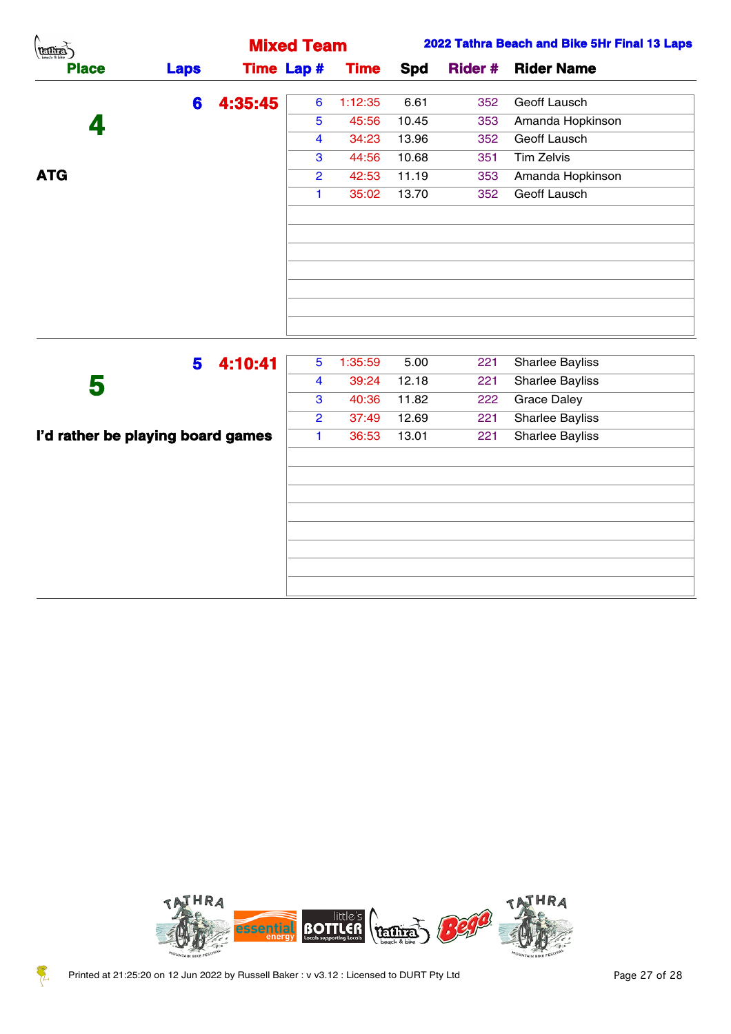| $\binom{n}{\text{matrix}}$ |             |         | <b>Mixed Team</b>        |             |       |     | 2022 Tathra Beach and Bike 5Hr Final 13 Laps |
|----------------------------|-------------|---------|--------------------------|-------------|-------|-----|----------------------------------------------|
| <b>Place</b>               | <b>Laps</b> |         | <b>Time Lap #</b>        | <b>Time</b> | Spd   |     | <b>Rider # Rider Name</b>                    |
|                            | 6           | 4:35:45 | $6^{\circ}$              | 1:12:35     | 6.61  | 352 | Geoff Lausch                                 |
| 4                          |             |         | $5^{\circ}$              | 45:56       | 10.45 | 353 | Amanda Hopkinson                             |
|                            |             |         | 4                        | 34:23       | 13.96 | 352 | Geoff Lausch                                 |
|                            |             |         | $\mathbf{3}$             | 44:56       | 10.68 | 351 | Tim Zelvis                                   |
| <b>ATG</b>                 |             |         | $\overline{2}$           | 42:53       | 11.19 | 353 | Amanda Hopkinson                             |
|                            |             |         | 1                        | 35:02       | 13.70 | 352 | Geoff Lausch                                 |
|                            |             |         |                          |             |       |     |                                              |
|                            |             |         |                          |             |       |     |                                              |
|                            |             |         |                          |             |       |     |                                              |
|                            |             |         |                          |             |       |     |                                              |
|                            |             |         |                          |             |       |     |                                              |
|                            |             |         |                          |             |       |     |                                              |
|                            |             |         |                          |             |       |     |                                              |
|                            |             |         | $\overline{\phantom{a}}$ |             |       |     |                                              |

| 4:10:41<br>5                      | 5              | 1:35:59 | 5.00  | 221 | <b>Sharlee Bayliss</b> |
|-----------------------------------|----------------|---------|-------|-----|------------------------|
| 5                                 | 4              | 39:24   | 12.18 | 221 | <b>Sharlee Bayliss</b> |
|                                   | 3              | 40:36   | 11.82 | 222 | <b>Grace Daley</b>     |
|                                   | $\overline{2}$ | 37:49   | 12.69 | 221 | <b>Sharlee Bayliss</b> |
| I'd rather be playing board games | 1              | 36:53   | 13.01 | 221 | <b>Sharlee Bayliss</b> |
|                                   |                |         |       |     |                        |
|                                   |                |         |       |     |                        |
|                                   |                |         |       |     |                        |
|                                   |                |         |       |     |                        |
|                                   |                |         |       |     |                        |
|                                   |                |         |       |     |                        |
|                                   |                |         |       |     |                        |
|                                   |                |         |       |     |                        |
|                                   |                |         |       |     |                        |